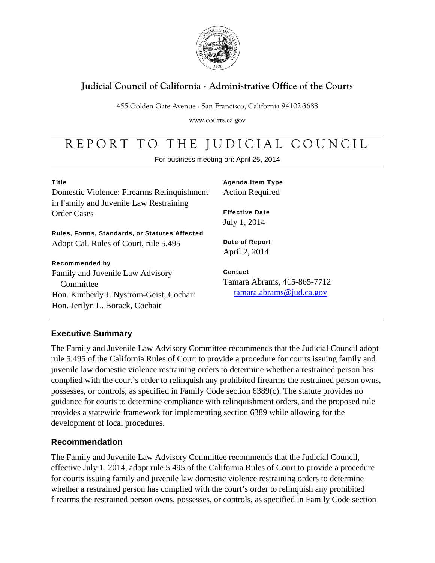

### **Judicial Council of California** . **Administrative Office of the Courts**

455 Golden Gate Avenue . San Francisco, California 94102-3688

www.courts.ca.gov

# REPORT TO THE JUDICIAL COUNCIL

For business meeting on: April 25, 2014

| <b>Title</b><br>Domestic Violence: Firearms Relinquishment<br>in Family and Juvenile Law Restraining                        | <b>Agenda Item Type</b><br><b>Action Required</b>                             |
|-----------------------------------------------------------------------------------------------------------------------------|-------------------------------------------------------------------------------|
| <b>Order Cases</b>                                                                                                          | <b>Effective Date</b><br>July 1, 2014                                         |
| Rules, Forms, Standards, or Statutes Affected                                                                               |                                                                               |
| Adopt Cal. Rules of Court, rule 5.495                                                                                       | <b>Date of Report</b><br>April 2, 2014                                        |
| <b>Recommended by</b>                                                                                                       |                                                                               |
| Family and Juvenile Law Advisory<br>Committee<br>Hon. Kimberly J. Nystrom-Geist, Cochair<br>Hon. Jerilyn L. Borack, Cochair | Contact<br>Tamara Abrams, 415-865-7712<br>$tamara$ . $abrams @$ jud. $ca.gov$ |

### **Executive Summary**

The Family and Juvenile Law Advisory Committee recommends that the Judicial Council adopt rule 5.495 of the California Rules of Court to provide a procedure for courts issuing family and juvenile law domestic violence restraining orders to determine whether a restrained person has complied with the court's order to relinquish any prohibited firearms the restrained person owns, possesses, or controls, as specified in Family Code section 6389(c). The statute provides no guidance for courts to determine compliance with relinquishment orders, and the proposed rule provides a statewide framework for implementing section 6389 while allowing for the development of local procedures.

#### **Recommendation**

The Family and Juvenile Law Advisory Committee recommends that the Judicial Council, effective July 1, 2014, adopt rule 5.495 of the California Rules of Court to provide a procedure for courts issuing family and juvenile law domestic violence restraining orders to determine whether a restrained person has complied with the court's order to relinquish any prohibited firearms the restrained person owns, possesses, or controls, as specified in Family Code section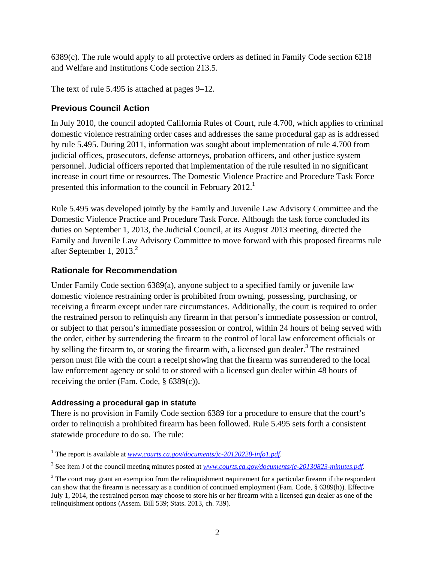6389(c). The rule would apply to all protective orders as defined in Family Code section 6218 and Welfare and Institutions Code section 213.5.

The text of rule 5.495 is attached at pages 9–12.

#### **Previous Council Action**

In July 2010, the council adopted California Rules of Court, rule 4.700, which applies to criminal domestic violence restraining order cases and addresses the same procedural gap as is addressed by rule 5.495. During 2011, information was sought about implementation of rule 4.700 from judicial offices, prosecutors, defense attorneys, probation officers, and other justice system personnel. Judicial officers reported that implementation of the rule resulted in no significant increase in court time or resources. The Domestic Violence Practice and Procedure Task Force presented this information to the council in February 2012.<sup>1</sup>

Rule 5.495 was developed jointly by the Family and Juvenile Law Advisory Committee and the Domestic Violence Practice and Procedure Task Force. Although the task force concluded its duties on September 1, 2013, the Judicial Council, at its August 2013 meeting, directed the Family and Juvenile Law Advisory Committee to move forward with this proposed firearms rule after September 1, 2013. $2$ 

#### **Rationale for Recommendation**

Under Family Code section 6389(a), anyone subject to a specified family or juvenile law domestic violence restraining order is prohibited from owning, possessing, purchasing, or receiving a firearm except under rare circumstances. Additionally, the court is required to order the restrained person to relinquish any firearm in that person's immediate possession or control, or subject to that person's immediate possession or control, within 24 hours of being served with the order, either by surrendering the firearm to the control of local law enforcement officials or by selling the firearm to, or storing the firearm with, a licensed gun dealer.<sup>3</sup> The restrained person must file with the court a receipt showing that the firearm was surrendered to the local law enforcement agency or sold to or stored with a licensed gun dealer within 48 hours of receiving the order (Fam. Code, § 6389(c)).

#### **Addressing a procedural gap in statute**

There is no provision in Family Code section 6389 for a procedure to ensure that the court's order to relinquish a prohibited firearm has been followed. Rule 5.495 sets forth a consistent statewide procedure to do so. The rule:

 $\overline{a}$ <sup>1</sup> The report is available at *www.courts.ca.gov/documents/jc-20120228-info1.pdf.* 

<sup>2</sup> See item J of the council meeting minutes posted at *www.courts.ca.gov/documents/jc-20130823-minutes.pdf*.

 $3$  The court may grant an exemption from the relinquishment requirement for a particular firearm if the respondent can show that the firearm is necessary as a condition of continued employment (Fam. Code, § 6389(h)). Effective July 1, 2014, the restrained person may choose to store his or her firearm with a licensed gun dealer as one of the relinquishment options (Assem. Bill 539; Stats. 2013, ch. 739).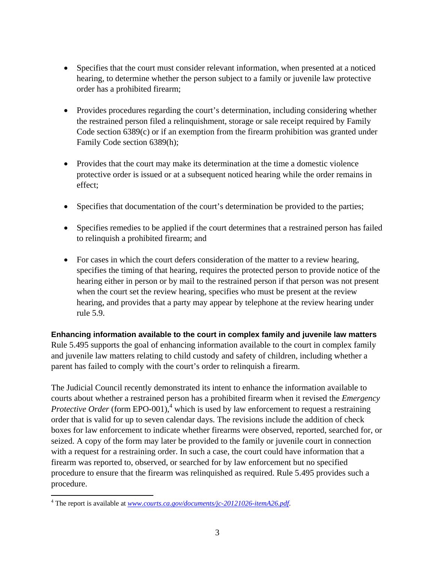- Specifies that the court must consider relevant information, when presented at a noticed hearing, to determine whether the person subject to a family or juvenile law protective order has a prohibited firearm;
- Provides procedures regarding the court's determination, including considering whether the restrained person filed a relinquishment, storage or sale receipt required by Family Code section 6389(c) or if an exemption from the firearm prohibition was granted under Family Code section 6389(h);
- Provides that the court may make its determination at the time a domestic violence protective order is issued or at a subsequent noticed hearing while the order remains in effect;
- Specifies that documentation of the court's determination be provided to the parties;
- Specifies remedies to be applied if the court determines that a restrained person has failed to relinquish a prohibited firearm; and
- For cases in which the court defers consideration of the matter to a review hearing, specifies the timing of that hearing, requires the protected person to provide notice of the hearing either in person or by mail to the restrained person if that person was not present when the court set the review hearing, specifies who must be present at the review hearing, and provides that a party may appear by telephone at the review hearing under rule 5.9.

**Enhancing information available to the court in complex family and juvenile law matters** Rule 5.495 supports the goal of enhancing information available to the court in complex family and juvenile law matters relating to child custody and safety of children, including whether a parent has failed to comply with the court's order to relinquish a firearm.

The Judicial Council recently demonstrated its intent to enhance the information available to courts about whether a restrained person has a prohibited firearm when it revised the *Emergency Protective Order* (form EPO-001),<sup>4</sup> which is used by law enforcement to request a restraining order that is valid for up to seven calendar days. The revisions include the addition of check boxes for law enforcement to indicate whether firearms were observed, reported, searched for, or seized. A copy of the form may later be provided to the family or juvenile court in connection with a request for a restraining order. In such a case, the court could have information that a firearm was reported to, observed, or searched for by law enforcement but no specified procedure to ensure that the firearm was relinquished as required. Rule 5.495 provides such a procedure.

 $\overline{a}$ 

<sup>4</sup> The report is available at *www.courts.ca.gov/documents/jc-20121026-itemA26.pdf*.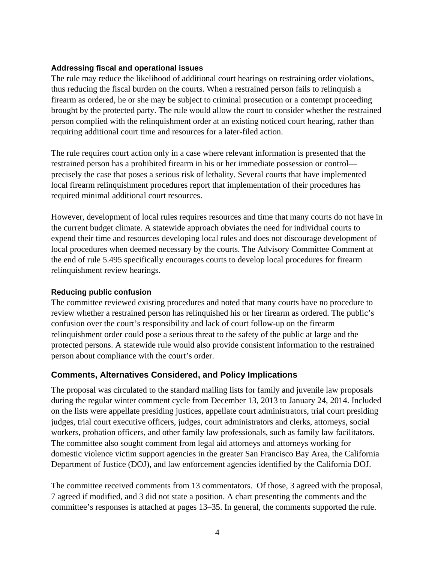#### **Addressing fiscal and operational issues**

The rule may reduce the likelihood of additional court hearings on restraining order violations, thus reducing the fiscal burden on the courts. When a restrained person fails to relinquish a firearm as ordered, he or she may be subject to criminal prosecution or a contempt proceeding brought by the protected party. The rule would allow the court to consider whether the restrained person complied with the relinquishment order at an existing noticed court hearing, rather than requiring additional court time and resources for a later-filed action.

The rule requires court action only in a case where relevant information is presented that the restrained person has a prohibited firearm in his or her immediate possession or control precisely the case that poses a serious risk of lethality. Several courts that have implemented local firearm relinquishment procedures report that implementation of their procedures has required minimal additional court resources.

However, development of local rules requires resources and time that many courts do not have in the current budget climate. A statewide approach obviates the need for individual courts to expend their time and resources developing local rules and does not discourage development of local procedures when deemed necessary by the courts. The Advisory Committee Comment at the end of rule 5.495 specifically encourages courts to develop local procedures for firearm relinquishment review hearings.

#### **Reducing public confusion**

The committee reviewed existing procedures and noted that many courts have no procedure to review whether a restrained person has relinquished his or her firearm as ordered. The public's confusion over the court's responsibility and lack of court follow-up on the firearm relinquishment order could pose a serious threat to the safety of the public at large and the protected persons. A statewide rule would also provide consistent information to the restrained person about compliance with the court's order.

#### **Comments, Alternatives Considered, and Policy Implications**

The proposal was circulated to the standard mailing lists for family and juvenile law proposals during the regular winter comment cycle from December 13, 2013 to January 24, 2014. Included on the lists were appellate presiding justices, appellate court administrators, trial court presiding judges, trial court executive officers, judges, court administrators and clerks, attorneys, social workers, probation officers, and other family law professionals, such as family law facilitators. The committee also sought comment from legal aid attorneys and attorneys working for domestic violence victim support agencies in the greater San Francisco Bay Area, the California Department of Justice (DOJ), and law enforcement agencies identified by the California DOJ.

The committee received comments from 13 commentators. Of those, 3 agreed with the proposal, 7 agreed if modified, and 3 did not state a position. A chart presenting the comments and the committee's responses is attached at pages 13–35. In general, the comments supported the rule.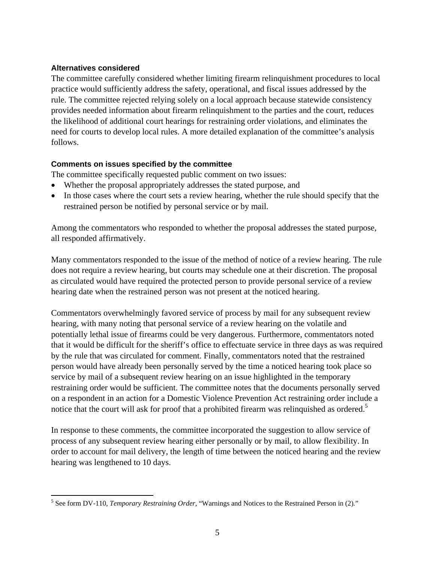#### **Alternatives considered**

The committee carefully considered whether limiting firearm relinquishment procedures to local practice would sufficiently address the safety, operational, and fiscal issues addressed by the rule. The committee rejected relying solely on a local approach because statewide consistency provides needed information about firearm relinquishment to the parties and the court, reduces the likelihood of additional court hearings for restraining order violations, and eliminates the need for courts to develop local rules. A more detailed explanation of the committee's analysis follows.

#### **Comments on issues specified by the committee**

The committee specifically requested public comment on two issues:

- Whether the proposal appropriately addresses the stated purpose, and
- In those cases where the court sets a review hearing, whether the rule should specify that the restrained person be notified by personal service or by mail.

Among the commentators who responded to whether the proposal addresses the stated purpose, all responded affirmatively.

Many commentators responded to the issue of the method of notice of a review hearing. The rule does not require a review hearing, but courts may schedule one at their discretion. The proposal as circulated would have required the protected person to provide personal service of a review hearing date when the restrained person was not present at the noticed hearing.

Commentators overwhelmingly favored service of process by mail for any subsequent review hearing, with many noting that personal service of a review hearing on the volatile and potentially lethal issue of firearms could be very dangerous. Furthermore, commentators noted that it would be difficult for the sheriff's office to effectuate service in three days as was required by the rule that was circulated for comment. Finally, commentators noted that the restrained person would have already been personally served by the time a noticed hearing took place so service by mail of a subsequent review hearing on an issue highlighted in the temporary restraining order would be sufficient. The committee notes that the documents personally served on a respondent in an action for a Domestic Violence Prevention Act restraining order include a notice that the court will ask for proof that a prohibited firearm was relinquished as ordered.<sup>5</sup>

In response to these comments, the committee incorporated the suggestion to allow service of process of any subsequent review hearing either personally or by mail, to allow flexibility. In order to account for mail delivery, the length of time between the noticed hearing and the review hearing was lengthened to 10 days.

 $\overline{a}$ 5 See form DV-110, *Temporary Restraining Order*, "Warnings and Notices to the Restrained Person in (2)*.*"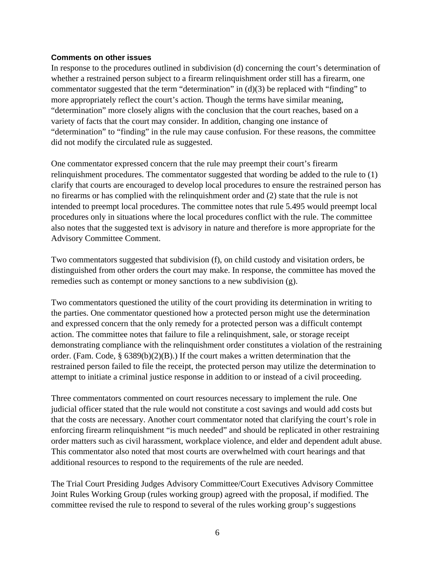#### **Comments on other issues**

In response to the procedures outlined in subdivision (d) concerning the court's determination of whether a restrained person subject to a firearm relinquishment order still has a firearm, one commentator suggested that the term "determination" in (d)(3) be replaced with "finding" to more appropriately reflect the court's action. Though the terms have similar meaning, "determination" more closely aligns with the conclusion that the court reaches, based on a variety of facts that the court may consider. In addition, changing one instance of "determination" to "finding" in the rule may cause confusion. For these reasons, the committee did not modify the circulated rule as suggested.

One commentator expressed concern that the rule may preempt their court's firearm relinquishment procedures. The commentator suggested that wording be added to the rule to (1) clarify that courts are encouraged to develop local procedures to ensure the restrained person has no firearms or has complied with the relinquishment order and (2) state that the rule is not intended to preempt local procedures. The committee notes that rule 5.495 would preempt local procedures only in situations where the local procedures conflict with the rule. The committee also notes that the suggested text is advisory in nature and therefore is more appropriate for the Advisory Committee Comment.

Two commentators suggested that subdivision (f), on child custody and visitation orders, be distinguished from other orders the court may make. In response, the committee has moved the remedies such as contempt or money sanctions to a new subdivision (g).

Two commentators questioned the utility of the court providing its determination in writing to the parties. One commentator questioned how a protected person might use the determination and expressed concern that the only remedy for a protected person was a difficult contempt action. The committee notes that failure to file a relinquishment, sale, or storage receipt demonstrating compliance with the relinquishment order constitutes a violation of the restraining order. (Fam. Code, § 6389(b)(2)(B).) If the court makes a written determination that the restrained person failed to file the receipt, the protected person may utilize the determination to attempt to initiate a criminal justice response in addition to or instead of a civil proceeding.

Three commentators commented on court resources necessary to implement the rule. One judicial officer stated that the rule would not constitute a cost savings and would add costs but that the costs are necessary. Another court commentator noted that clarifying the court's role in enforcing firearm relinquishment "is much needed" and should be replicated in other restraining order matters such as civil harassment, workplace violence, and elder and dependent adult abuse. This commentator also noted that most courts are overwhelmed with court hearings and that additional resources to respond to the requirements of the rule are needed.

The Trial Court Presiding Judges Advisory Committee/Court Executives Advisory Committee Joint Rules Working Group (rules working group) agreed with the proposal, if modified. The committee revised the rule to respond to several of the rules working group's suggestions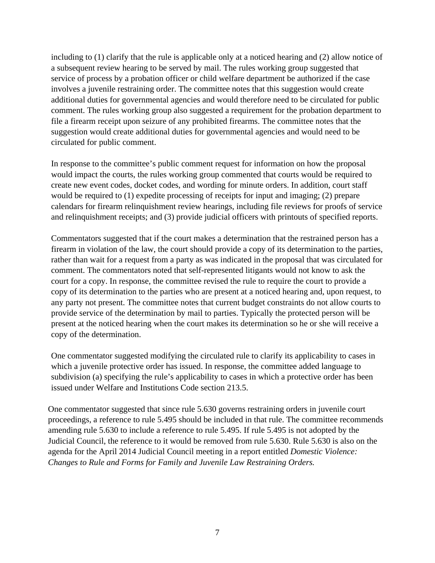including to (1) clarify that the rule is applicable only at a noticed hearing and (2) allow notice of a subsequent review hearing to be served by mail. The rules working group suggested that service of process by a probation officer or child welfare department be authorized if the case involves a juvenile restraining order. The committee notes that this suggestion would create additional duties for governmental agencies and would therefore need to be circulated for public comment. The rules working group also suggested a requirement for the probation department to file a firearm receipt upon seizure of any prohibited firearms. The committee notes that the suggestion would create additional duties for governmental agencies and would need to be circulated for public comment.

In response to the committee's public comment request for information on how the proposal would impact the courts, the rules working group commented that courts would be required to create new event codes, docket codes, and wording for minute orders. In addition, court staff would be required to (1) expedite processing of receipts for input and imaging; (2) prepare calendars for firearm relinquishment review hearings, including file reviews for proofs of service and relinquishment receipts; and (3) provide judicial officers with printouts of specified reports.

Commentators suggested that if the court makes a determination that the restrained person has a firearm in violation of the law, the court should provide a copy of its determination to the parties, rather than wait for a request from a party as was indicated in the proposal that was circulated for comment. The commentators noted that self-represented litigants would not know to ask the court for a copy. In response, the committee revised the rule to require the court to provide a copy of its determination to the parties who are present at a noticed hearing and, upon request, to any party not present. The committee notes that current budget constraints do not allow courts to provide service of the determination by mail to parties. Typically the protected person will be present at the noticed hearing when the court makes its determination so he or she will receive a copy of the determination.

One commentator suggested modifying the circulated rule to clarify its applicability to cases in which a juvenile protective order has issued. In response, the committee added language to subdivision (a) specifying the rule's applicability to cases in which a protective order has been issued under Welfare and Institutions Code section 213.5.

One commentator suggested that since rule 5.630 governs restraining orders in juvenile court proceedings, a reference to rule 5.495 should be included in that rule. The committee recommends amending rule 5.630 to include a reference to rule 5.495. If rule 5.495 is not adopted by the Judicial Council, the reference to it would be removed from rule 5.630. Rule 5.630 is also on the agenda for the April 2014 Judicial Council meeting in a report entitled *Domestic Violence: Changes to Rule and Forms for Family and Juvenile Law Restraining Orders.*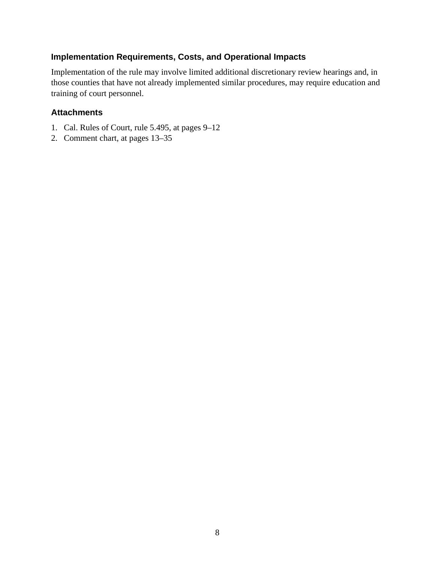#### **Implementation Requirements, Costs, and Operational Impacts**

Implementation of the rule may involve limited additional discretionary review hearings and, in those counties that have not already implemented similar procedures, may require education and training of court personnel.

#### **Attachments**

- 1. Cal. Rules of Court, rule 5.495, at pages 9–12
- 2. Comment chart, at pages 13–35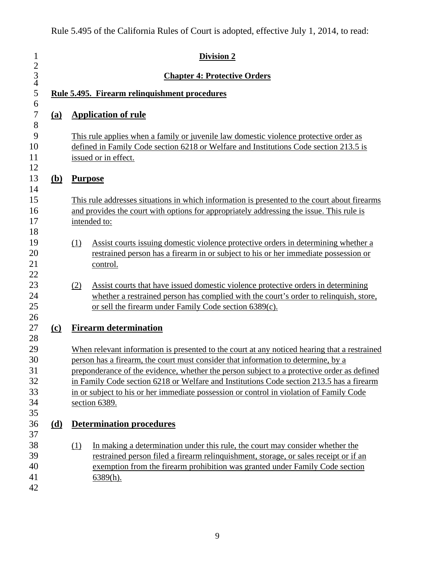| $\mathbf{1}$<br>$\begin{array}{c} 2 \\ 3 \\ 4 \end{array}$ |                             | <b>Division 2</b><br><b>Chapter 4: Protective Orders</b>                                                                                                                                                                                                                                                                                                                                                                                                                                |  |  |  |  |  |  |  |  |
|------------------------------------------------------------|-----------------------------|-----------------------------------------------------------------------------------------------------------------------------------------------------------------------------------------------------------------------------------------------------------------------------------------------------------------------------------------------------------------------------------------------------------------------------------------------------------------------------------------|--|--|--|--|--|--|--|--|
| 5                                                          |                             | Rule 5.495. Firearm relinquishment procedures                                                                                                                                                                                                                                                                                                                                                                                                                                           |  |  |  |  |  |  |  |  |
| 6<br>$\sqrt{ }$                                            | <u>(a)</u>                  | <b>Application of rule</b>                                                                                                                                                                                                                                                                                                                                                                                                                                                              |  |  |  |  |  |  |  |  |
| 8<br>9<br>10<br>11<br>12                                   |                             | This rule applies when a family or juvenile law domestic violence protective order as<br>defined in Family Code section 6218 or Welfare and Institutions Code section 213.5 is<br>issued or in effect.                                                                                                                                                                                                                                                                                  |  |  |  |  |  |  |  |  |
| 13                                                         | <u>(b)</u>                  | <b>Purpose</b>                                                                                                                                                                                                                                                                                                                                                                                                                                                                          |  |  |  |  |  |  |  |  |
| 14<br>15<br>16<br>17<br>18                                 |                             | This rule addresses situations in which information is presented to the court about firearms<br>and provides the court with options for appropriately addressing the issue. This rule is<br>intended to:                                                                                                                                                                                                                                                                                |  |  |  |  |  |  |  |  |
| 19<br>20<br>21<br>22                                       |                             | Assist courts issuing domestic violence protective orders in determining whether a<br>(1)<br>restrained person has a firearm in or subject to his or her immediate possession or<br>control.                                                                                                                                                                                                                                                                                            |  |  |  |  |  |  |  |  |
| 23<br>24<br>25<br>26                                       |                             | Assist courts that have issued domestic violence protective orders in determining<br>(2)<br>whether a restrained person has complied with the court's order to relinquish, store,<br>or sell the firearm under Family Code section 6389(c).                                                                                                                                                                                                                                             |  |  |  |  |  |  |  |  |
| 27                                                         | $\left( \mathbf{c} \right)$ | <b>Firearm determination</b>                                                                                                                                                                                                                                                                                                                                                                                                                                                            |  |  |  |  |  |  |  |  |
| 28<br>29<br>30<br>31<br>32<br>33<br>34<br>35               |                             | When relevant information is presented to the court at any noticed hearing that a restrained<br>person has a firearm, the court must consider that information to determine, by a<br>preponderance of the evidence, whether the person subject to a protective order as defined<br>in Family Code section 6218 or Welfare and Institutions Code section 213.5 has a firearm<br>in or subject to his or her immediate possession or control in violation of Family Code<br>section 6389. |  |  |  |  |  |  |  |  |
| 36                                                         | <u>(d)</u>                  | <b>Determination procedures</b>                                                                                                                                                                                                                                                                                                                                                                                                                                                         |  |  |  |  |  |  |  |  |
| 37<br>38<br>39<br>40<br>41<br>42                           |                             | In making a determination under this rule, the court may consider whether the<br>(1)<br>restrained person filed a firearm relinquishment, storage, or sales receipt or if an<br>exemption from the firearm prohibition was granted under Family Code section<br>$6389(h)$ .                                                                                                                                                                                                             |  |  |  |  |  |  |  |  |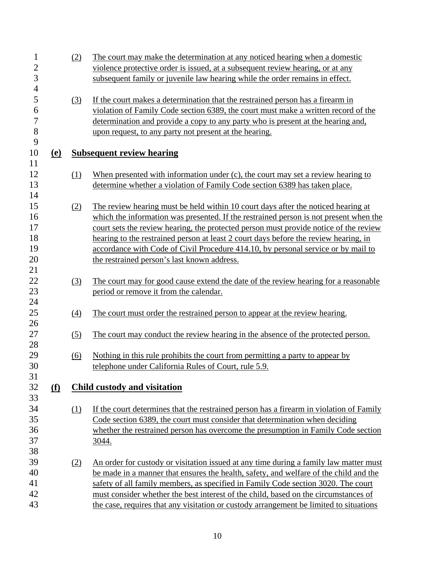| $\overline{c}$<br>violence protective order is issued, at a subsequent review hearing, or at any<br>$\overline{3}$<br>subsequent family or juvenile law hearing while the order remains in effect.<br>$\overline{4}$<br>5<br>If the court makes a determination that the restrained person has a firearm in<br>$\left(3\right)$<br>6<br>violation of Family Code section 6389, the court must make a written record of the<br>$\overline{7}$<br>determination and provide a copy to any party who is present at the hearing and,<br>8<br>upon request, to any party not present at the hearing.<br>9<br>10<br><b>Subsequent review hearing</b><br><u>(e)</u><br>11<br>12<br>When presented with information under $(c)$ , the court may set a review hearing to<br>(1)<br>13<br>determine whether a violation of Family Code section 6389 has taken place.<br>14<br>15<br>The review hearing must be held within 10 court days after the noticed hearing at<br>(2)<br>16<br>which the information was presented. If the restrained person is not present when the<br>17<br>court sets the review hearing, the protected person must provide notice of the review<br>18<br>hearing to the restrained person at least 2 court days before the review hearing, in<br>19<br>accordance with Code of Civil Procedure 414.10, by personal service or by mail to<br>20<br>the restrained person's last known address.<br>21<br>$22\,$<br>The court may for good cause extend the date of the review hearing for a reasonable<br>(3)<br>23<br>period or remove it from the calendar.<br>24<br>25<br>The court must order the restrained person to appear at the review hearing.<br>$\underline{(4)}$<br>26<br>27<br>The court may conduct the review hearing in the absence of the protected person.<br>(5)<br>28<br>29<br>Nothing in this rule prohibits the court from permitting a party to appear by<br>$\underline{(6)}$<br>30<br>telephone under California Rules of Court, rule 5.9.<br>31<br>32<br><u>(f)</u><br>Child custody and visitation<br>33<br>34<br>If the court determines that the restrained person has a firearm in violation of Family<br>(1)<br>35<br>Code section 6389, the court must consider that determination when deciding<br>36<br>whether the restrained person has overcome the presumption in Family Code section<br>37<br>3044. | $\mathbf{1}$ | (2) | The court may make the determination at any noticed hearing when a domestic |
|------------------------------------------------------------------------------------------------------------------------------------------------------------------------------------------------------------------------------------------------------------------------------------------------------------------------------------------------------------------------------------------------------------------------------------------------------------------------------------------------------------------------------------------------------------------------------------------------------------------------------------------------------------------------------------------------------------------------------------------------------------------------------------------------------------------------------------------------------------------------------------------------------------------------------------------------------------------------------------------------------------------------------------------------------------------------------------------------------------------------------------------------------------------------------------------------------------------------------------------------------------------------------------------------------------------------------------------------------------------------------------------------------------------------------------------------------------------------------------------------------------------------------------------------------------------------------------------------------------------------------------------------------------------------------------------------------------------------------------------------------------------------------------------------------------------------------------------------------------------------------------------------------------------------------------------------------------------------------------------------------------------------------------------------------------------------------------------------------------------------------------------------------------------------------------------------------------------------------------------------------------------------------------------------------------------------------------------------------------|--------------|-----|-----------------------------------------------------------------------------|
|                                                                                                                                                                                                                                                                                                                                                                                                                                                                                                                                                                                                                                                                                                                                                                                                                                                                                                                                                                                                                                                                                                                                                                                                                                                                                                                                                                                                                                                                                                                                                                                                                                                                                                                                                                                                                                                                                                                                                                                                                                                                                                                                                                                                                                                                                                                                                            |              |     |                                                                             |
|                                                                                                                                                                                                                                                                                                                                                                                                                                                                                                                                                                                                                                                                                                                                                                                                                                                                                                                                                                                                                                                                                                                                                                                                                                                                                                                                                                                                                                                                                                                                                                                                                                                                                                                                                                                                                                                                                                                                                                                                                                                                                                                                                                                                                                                                                                                                                            |              |     |                                                                             |
|                                                                                                                                                                                                                                                                                                                                                                                                                                                                                                                                                                                                                                                                                                                                                                                                                                                                                                                                                                                                                                                                                                                                                                                                                                                                                                                                                                                                                                                                                                                                                                                                                                                                                                                                                                                                                                                                                                                                                                                                                                                                                                                                                                                                                                                                                                                                                            |              |     |                                                                             |
|                                                                                                                                                                                                                                                                                                                                                                                                                                                                                                                                                                                                                                                                                                                                                                                                                                                                                                                                                                                                                                                                                                                                                                                                                                                                                                                                                                                                                                                                                                                                                                                                                                                                                                                                                                                                                                                                                                                                                                                                                                                                                                                                                                                                                                                                                                                                                            |              |     |                                                                             |
|                                                                                                                                                                                                                                                                                                                                                                                                                                                                                                                                                                                                                                                                                                                                                                                                                                                                                                                                                                                                                                                                                                                                                                                                                                                                                                                                                                                                                                                                                                                                                                                                                                                                                                                                                                                                                                                                                                                                                                                                                                                                                                                                                                                                                                                                                                                                                            |              |     |                                                                             |
|                                                                                                                                                                                                                                                                                                                                                                                                                                                                                                                                                                                                                                                                                                                                                                                                                                                                                                                                                                                                                                                                                                                                                                                                                                                                                                                                                                                                                                                                                                                                                                                                                                                                                                                                                                                                                                                                                                                                                                                                                                                                                                                                                                                                                                                                                                                                                            |              |     |                                                                             |
|                                                                                                                                                                                                                                                                                                                                                                                                                                                                                                                                                                                                                                                                                                                                                                                                                                                                                                                                                                                                                                                                                                                                                                                                                                                                                                                                                                                                                                                                                                                                                                                                                                                                                                                                                                                                                                                                                                                                                                                                                                                                                                                                                                                                                                                                                                                                                            |              |     |                                                                             |
|                                                                                                                                                                                                                                                                                                                                                                                                                                                                                                                                                                                                                                                                                                                                                                                                                                                                                                                                                                                                                                                                                                                                                                                                                                                                                                                                                                                                                                                                                                                                                                                                                                                                                                                                                                                                                                                                                                                                                                                                                                                                                                                                                                                                                                                                                                                                                            |              |     |                                                                             |
|                                                                                                                                                                                                                                                                                                                                                                                                                                                                                                                                                                                                                                                                                                                                                                                                                                                                                                                                                                                                                                                                                                                                                                                                                                                                                                                                                                                                                                                                                                                                                                                                                                                                                                                                                                                                                                                                                                                                                                                                                                                                                                                                                                                                                                                                                                                                                            |              |     |                                                                             |
|                                                                                                                                                                                                                                                                                                                                                                                                                                                                                                                                                                                                                                                                                                                                                                                                                                                                                                                                                                                                                                                                                                                                                                                                                                                                                                                                                                                                                                                                                                                                                                                                                                                                                                                                                                                                                                                                                                                                                                                                                                                                                                                                                                                                                                                                                                                                                            |              |     |                                                                             |
|                                                                                                                                                                                                                                                                                                                                                                                                                                                                                                                                                                                                                                                                                                                                                                                                                                                                                                                                                                                                                                                                                                                                                                                                                                                                                                                                                                                                                                                                                                                                                                                                                                                                                                                                                                                                                                                                                                                                                                                                                                                                                                                                                                                                                                                                                                                                                            |              |     |                                                                             |
|                                                                                                                                                                                                                                                                                                                                                                                                                                                                                                                                                                                                                                                                                                                                                                                                                                                                                                                                                                                                                                                                                                                                                                                                                                                                                                                                                                                                                                                                                                                                                                                                                                                                                                                                                                                                                                                                                                                                                                                                                                                                                                                                                                                                                                                                                                                                                            |              |     |                                                                             |
|                                                                                                                                                                                                                                                                                                                                                                                                                                                                                                                                                                                                                                                                                                                                                                                                                                                                                                                                                                                                                                                                                                                                                                                                                                                                                                                                                                                                                                                                                                                                                                                                                                                                                                                                                                                                                                                                                                                                                                                                                                                                                                                                                                                                                                                                                                                                                            |              |     |                                                                             |
|                                                                                                                                                                                                                                                                                                                                                                                                                                                                                                                                                                                                                                                                                                                                                                                                                                                                                                                                                                                                                                                                                                                                                                                                                                                                                                                                                                                                                                                                                                                                                                                                                                                                                                                                                                                                                                                                                                                                                                                                                                                                                                                                                                                                                                                                                                                                                            |              |     |                                                                             |
|                                                                                                                                                                                                                                                                                                                                                                                                                                                                                                                                                                                                                                                                                                                                                                                                                                                                                                                                                                                                                                                                                                                                                                                                                                                                                                                                                                                                                                                                                                                                                                                                                                                                                                                                                                                                                                                                                                                                                                                                                                                                                                                                                                                                                                                                                                                                                            |              |     |                                                                             |
|                                                                                                                                                                                                                                                                                                                                                                                                                                                                                                                                                                                                                                                                                                                                                                                                                                                                                                                                                                                                                                                                                                                                                                                                                                                                                                                                                                                                                                                                                                                                                                                                                                                                                                                                                                                                                                                                                                                                                                                                                                                                                                                                                                                                                                                                                                                                                            |              |     |                                                                             |
|                                                                                                                                                                                                                                                                                                                                                                                                                                                                                                                                                                                                                                                                                                                                                                                                                                                                                                                                                                                                                                                                                                                                                                                                                                                                                                                                                                                                                                                                                                                                                                                                                                                                                                                                                                                                                                                                                                                                                                                                                                                                                                                                                                                                                                                                                                                                                            |              |     |                                                                             |
|                                                                                                                                                                                                                                                                                                                                                                                                                                                                                                                                                                                                                                                                                                                                                                                                                                                                                                                                                                                                                                                                                                                                                                                                                                                                                                                                                                                                                                                                                                                                                                                                                                                                                                                                                                                                                                                                                                                                                                                                                                                                                                                                                                                                                                                                                                                                                            |              |     |                                                                             |
|                                                                                                                                                                                                                                                                                                                                                                                                                                                                                                                                                                                                                                                                                                                                                                                                                                                                                                                                                                                                                                                                                                                                                                                                                                                                                                                                                                                                                                                                                                                                                                                                                                                                                                                                                                                                                                                                                                                                                                                                                                                                                                                                                                                                                                                                                                                                                            |              |     |                                                                             |
|                                                                                                                                                                                                                                                                                                                                                                                                                                                                                                                                                                                                                                                                                                                                                                                                                                                                                                                                                                                                                                                                                                                                                                                                                                                                                                                                                                                                                                                                                                                                                                                                                                                                                                                                                                                                                                                                                                                                                                                                                                                                                                                                                                                                                                                                                                                                                            |              |     |                                                                             |
|                                                                                                                                                                                                                                                                                                                                                                                                                                                                                                                                                                                                                                                                                                                                                                                                                                                                                                                                                                                                                                                                                                                                                                                                                                                                                                                                                                                                                                                                                                                                                                                                                                                                                                                                                                                                                                                                                                                                                                                                                                                                                                                                                                                                                                                                                                                                                            |              |     |                                                                             |
|                                                                                                                                                                                                                                                                                                                                                                                                                                                                                                                                                                                                                                                                                                                                                                                                                                                                                                                                                                                                                                                                                                                                                                                                                                                                                                                                                                                                                                                                                                                                                                                                                                                                                                                                                                                                                                                                                                                                                                                                                                                                                                                                                                                                                                                                                                                                                            |              |     |                                                                             |
|                                                                                                                                                                                                                                                                                                                                                                                                                                                                                                                                                                                                                                                                                                                                                                                                                                                                                                                                                                                                                                                                                                                                                                                                                                                                                                                                                                                                                                                                                                                                                                                                                                                                                                                                                                                                                                                                                                                                                                                                                                                                                                                                                                                                                                                                                                                                                            |              |     |                                                                             |
|                                                                                                                                                                                                                                                                                                                                                                                                                                                                                                                                                                                                                                                                                                                                                                                                                                                                                                                                                                                                                                                                                                                                                                                                                                                                                                                                                                                                                                                                                                                                                                                                                                                                                                                                                                                                                                                                                                                                                                                                                                                                                                                                                                                                                                                                                                                                                            |              |     |                                                                             |
|                                                                                                                                                                                                                                                                                                                                                                                                                                                                                                                                                                                                                                                                                                                                                                                                                                                                                                                                                                                                                                                                                                                                                                                                                                                                                                                                                                                                                                                                                                                                                                                                                                                                                                                                                                                                                                                                                                                                                                                                                                                                                                                                                                                                                                                                                                                                                            |              |     |                                                                             |
|                                                                                                                                                                                                                                                                                                                                                                                                                                                                                                                                                                                                                                                                                                                                                                                                                                                                                                                                                                                                                                                                                                                                                                                                                                                                                                                                                                                                                                                                                                                                                                                                                                                                                                                                                                                                                                                                                                                                                                                                                                                                                                                                                                                                                                                                                                                                                            |              |     |                                                                             |
|                                                                                                                                                                                                                                                                                                                                                                                                                                                                                                                                                                                                                                                                                                                                                                                                                                                                                                                                                                                                                                                                                                                                                                                                                                                                                                                                                                                                                                                                                                                                                                                                                                                                                                                                                                                                                                                                                                                                                                                                                                                                                                                                                                                                                                                                                                                                                            |              |     |                                                                             |
|                                                                                                                                                                                                                                                                                                                                                                                                                                                                                                                                                                                                                                                                                                                                                                                                                                                                                                                                                                                                                                                                                                                                                                                                                                                                                                                                                                                                                                                                                                                                                                                                                                                                                                                                                                                                                                                                                                                                                                                                                                                                                                                                                                                                                                                                                                                                                            |              |     |                                                                             |
|                                                                                                                                                                                                                                                                                                                                                                                                                                                                                                                                                                                                                                                                                                                                                                                                                                                                                                                                                                                                                                                                                                                                                                                                                                                                                                                                                                                                                                                                                                                                                                                                                                                                                                                                                                                                                                                                                                                                                                                                                                                                                                                                                                                                                                                                                                                                                            |              |     |                                                                             |
|                                                                                                                                                                                                                                                                                                                                                                                                                                                                                                                                                                                                                                                                                                                                                                                                                                                                                                                                                                                                                                                                                                                                                                                                                                                                                                                                                                                                                                                                                                                                                                                                                                                                                                                                                                                                                                                                                                                                                                                                                                                                                                                                                                                                                                                                                                                                                            |              |     |                                                                             |
|                                                                                                                                                                                                                                                                                                                                                                                                                                                                                                                                                                                                                                                                                                                                                                                                                                                                                                                                                                                                                                                                                                                                                                                                                                                                                                                                                                                                                                                                                                                                                                                                                                                                                                                                                                                                                                                                                                                                                                                                                                                                                                                                                                                                                                                                                                                                                            |              |     |                                                                             |
|                                                                                                                                                                                                                                                                                                                                                                                                                                                                                                                                                                                                                                                                                                                                                                                                                                                                                                                                                                                                                                                                                                                                                                                                                                                                                                                                                                                                                                                                                                                                                                                                                                                                                                                                                                                                                                                                                                                                                                                                                                                                                                                                                                                                                                                                                                                                                            |              |     |                                                                             |
|                                                                                                                                                                                                                                                                                                                                                                                                                                                                                                                                                                                                                                                                                                                                                                                                                                                                                                                                                                                                                                                                                                                                                                                                                                                                                                                                                                                                                                                                                                                                                                                                                                                                                                                                                                                                                                                                                                                                                                                                                                                                                                                                                                                                                                                                                                                                                            |              |     |                                                                             |
|                                                                                                                                                                                                                                                                                                                                                                                                                                                                                                                                                                                                                                                                                                                                                                                                                                                                                                                                                                                                                                                                                                                                                                                                                                                                                                                                                                                                                                                                                                                                                                                                                                                                                                                                                                                                                                                                                                                                                                                                                                                                                                                                                                                                                                                                                                                                                            |              |     |                                                                             |
|                                                                                                                                                                                                                                                                                                                                                                                                                                                                                                                                                                                                                                                                                                                                                                                                                                                                                                                                                                                                                                                                                                                                                                                                                                                                                                                                                                                                                                                                                                                                                                                                                                                                                                                                                                                                                                                                                                                                                                                                                                                                                                                                                                                                                                                                                                                                                            |              |     |                                                                             |
|                                                                                                                                                                                                                                                                                                                                                                                                                                                                                                                                                                                                                                                                                                                                                                                                                                                                                                                                                                                                                                                                                                                                                                                                                                                                                                                                                                                                                                                                                                                                                                                                                                                                                                                                                                                                                                                                                                                                                                                                                                                                                                                                                                                                                                                                                                                                                            | 38           |     |                                                                             |
| 39<br>An order for custody or visitation issued at any time during a family law matter must<br>(2)                                                                                                                                                                                                                                                                                                                                                                                                                                                                                                                                                                                                                                                                                                                                                                                                                                                                                                                                                                                                                                                                                                                                                                                                                                                                                                                                                                                                                                                                                                                                                                                                                                                                                                                                                                                                                                                                                                                                                                                                                                                                                                                                                                                                                                                         |              |     |                                                                             |
| 40<br>be made in a manner that ensures the health, safety, and welfare of the child and the                                                                                                                                                                                                                                                                                                                                                                                                                                                                                                                                                                                                                                                                                                                                                                                                                                                                                                                                                                                                                                                                                                                                                                                                                                                                                                                                                                                                                                                                                                                                                                                                                                                                                                                                                                                                                                                                                                                                                                                                                                                                                                                                                                                                                                                                |              |     |                                                                             |
| 41<br>safety of all family members, as specified in Family Code section 3020. The court                                                                                                                                                                                                                                                                                                                                                                                                                                                                                                                                                                                                                                                                                                                                                                                                                                                                                                                                                                                                                                                                                                                                                                                                                                                                                                                                                                                                                                                                                                                                                                                                                                                                                                                                                                                                                                                                                                                                                                                                                                                                                                                                                                                                                                                                    |              |     |                                                                             |
| 42<br>must consider whether the best interest of the child, based on the circumstances of                                                                                                                                                                                                                                                                                                                                                                                                                                                                                                                                                                                                                                                                                                                                                                                                                                                                                                                                                                                                                                                                                                                                                                                                                                                                                                                                                                                                                                                                                                                                                                                                                                                                                                                                                                                                                                                                                                                                                                                                                                                                                                                                                                                                                                                                  |              |     |                                                                             |
| 43<br>the case, requires that any visitation or custody arrangement be limited to situations                                                                                                                                                                                                                                                                                                                                                                                                                                                                                                                                                                                                                                                                                                                                                                                                                                                                                                                                                                                                                                                                                                                                                                                                                                                                                                                                                                                                                                                                                                                                                                                                                                                                                                                                                                                                                                                                                                                                                                                                                                                                                                                                                                                                                                                               |              |     |                                                                             |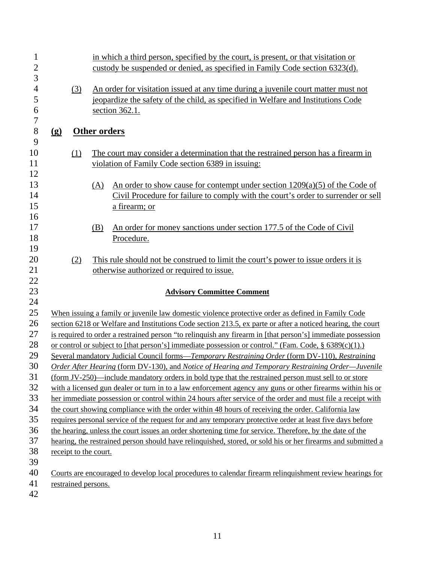| $\mathbf{1}$        |                                         |     | in which a third person, specified by the court, is present, or that visitation or                                                                                      |  |  |  |  |  |
|---------------------|-----------------------------------------|-----|-------------------------------------------------------------------------------------------------------------------------------------------------------------------------|--|--|--|--|--|
| $\overline{c}$<br>3 |                                         |     | custody be suspended or denied, as specified in Family Code section 6323(d).                                                                                            |  |  |  |  |  |
|                     |                                         |     |                                                                                                                                                                         |  |  |  |  |  |
| $\overline{4}$<br>5 |                                         | (3) | An order for visitation issued at any time during a juvenile court matter must not<br>jeopardize the safety of the child, as specified in Welfare and Institutions Code |  |  |  |  |  |
| 6                   |                                         |     |                                                                                                                                                                         |  |  |  |  |  |
| $\overline{7}$      |                                         |     | section 362.1.                                                                                                                                                          |  |  |  |  |  |
| 8                   | $\left( \underline{\mathbf{g}} \right)$ |     | Other orders                                                                                                                                                            |  |  |  |  |  |
| 9                   |                                         |     |                                                                                                                                                                         |  |  |  |  |  |
| 10                  |                                         | (1) | The court may consider a determination that the restrained person has a firearm in                                                                                      |  |  |  |  |  |
| 11                  |                                         |     | violation of Family Code section 6389 in issuing:                                                                                                                       |  |  |  |  |  |
| 12                  |                                         |     |                                                                                                                                                                         |  |  |  |  |  |
| 13                  |                                         |     | An order to show cause for contempt under section $1209(a)(5)$ of the Code of<br>(A)                                                                                    |  |  |  |  |  |
| 14                  |                                         |     | Civil Procedure for failure to comply with the court's order to surrender or sell                                                                                       |  |  |  |  |  |
| 15                  |                                         |     | a firearm; or                                                                                                                                                           |  |  |  |  |  |
| 16                  |                                         |     |                                                                                                                                                                         |  |  |  |  |  |
| 17                  |                                         |     | An order for money sanctions under section 177.5 of the Code of Civil<br>(B)                                                                                            |  |  |  |  |  |
| 18                  |                                         |     | Procedure.                                                                                                                                                              |  |  |  |  |  |
| 19                  |                                         |     |                                                                                                                                                                         |  |  |  |  |  |
| 20                  |                                         | (2) | This rule should not be construed to limit the court's power to issue orders it is                                                                                      |  |  |  |  |  |
| 21                  |                                         |     | otherwise authorized or required to issue.                                                                                                                              |  |  |  |  |  |
| 22                  |                                         |     |                                                                                                                                                                         |  |  |  |  |  |
| 23                  |                                         |     | <b>Advisory Committee Comment</b>                                                                                                                                       |  |  |  |  |  |
| 24                  |                                         |     |                                                                                                                                                                         |  |  |  |  |  |
| 25                  |                                         |     | When issuing a family or juvenile law domestic violence protective order as defined in Family Code                                                                      |  |  |  |  |  |
| 26                  |                                         |     | section 6218 or Welfare and Institutions Code section 213.5, ex parte or after a noticed hearing, the court                                                             |  |  |  |  |  |
| 27                  |                                         |     | is required to order a restrained person "to relinquish any firearm in [that person's] immediate possession                                                             |  |  |  |  |  |
| 28                  |                                         |     | or control or subject to [that person's] immediate possession or control." (Fam. Code, $\S 6389(c)(1)$ .)                                                               |  |  |  |  |  |
| 29                  |                                         |     | Several mandatory Judicial Council forms-Temporary Restraining Order (form DV-110), Restraining                                                                         |  |  |  |  |  |
| 30                  |                                         |     | Order After Hearing (form DV-130), and Notice of Hearing and Temporary Restraining Order-Juvenile                                                                       |  |  |  |  |  |
| 31                  |                                         |     | (form JV-250)—include mandatory orders in bold type that the restrained person must sell to or store                                                                    |  |  |  |  |  |
| 32                  |                                         |     | with a licensed gun dealer or turn in to a law enforcement agency any guns or other firearms within his or                                                              |  |  |  |  |  |
| 33                  |                                         |     | her immediate possession or control within 24 hours after service of the order and must file a receipt with                                                             |  |  |  |  |  |
| 34                  |                                         |     | the court showing compliance with the order within 48 hours of receiving the order. California law                                                                      |  |  |  |  |  |
| 35                  |                                         |     | requires personal service of the request for and any temporary protective order at least five days before                                                               |  |  |  |  |  |
| 36                  |                                         |     | the hearing, unless the court issues an order shortening time for service. Therefore, by the date of the                                                                |  |  |  |  |  |
| 37                  |                                         |     | hearing, the restrained person should have relinquished, stored, or sold his or her firearms and submitted a                                                            |  |  |  |  |  |
| 38                  |                                         |     | receipt to the court.                                                                                                                                                   |  |  |  |  |  |
| 39                  |                                         |     |                                                                                                                                                                         |  |  |  |  |  |
| 40                  |                                         |     | Courts are encouraged to develop local procedures to calendar firearm relinquishment review hearings for                                                                |  |  |  |  |  |
| 41                  |                                         |     | restrained persons.                                                                                                                                                     |  |  |  |  |  |
| 42                  |                                         |     |                                                                                                                                                                         |  |  |  |  |  |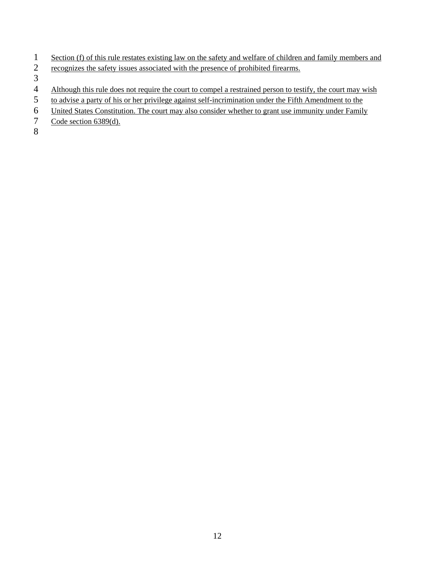- 1 Section (f) of this rule restates existing law on the safety and welfare of children and family members and recognizes the safety issues associated with the presence of prohibited firearms.
- recognizes the safety issues associated with the presence of prohibited firearms.

 $\frac{3}{4}$ 

- 4 Although this rule does not require the court to compel a restrained person to testify, the court may wish<br>5 to advise a party of his or her privilege against self-incrimination under the Fifth Amendment to the
- to advise a party of his or her privilege against self-incrimination under the Fifth Amendment to the
- 6 United States Constitution. The court may also consider whether to grant use immunity under Family
- 7 Code section 6389(d).

8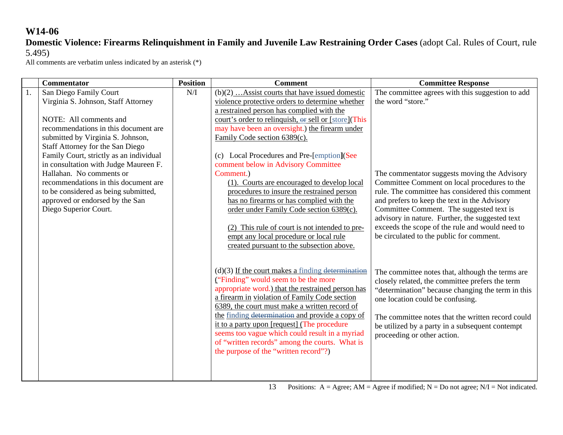### **Domestic Violence: Firearms Relinquishment in Family and Juvenile Law Restraining Order Cases** (adopt Cal. Rules of Court, rule 5.495)

|    | <b>Commentator</b>                      | <b>Position</b> | <b>Comment</b>                                       | <b>Committee Response</b>                         |
|----|-----------------------------------------|-----------------|------------------------------------------------------|---------------------------------------------------|
| 1. | San Diego Family Court                  | N/I             | $(b)(2)$ Assist courts that have issued domestic     | The committee agrees with this suggestion to add  |
|    | Virginia S. Johnson, Staff Attorney     |                 | violence protective orders to determine whether      | the word "store."                                 |
|    |                                         |                 | a restrained person has complied with the            |                                                   |
|    | NOTE: All comments and                  |                 | court's order to relinquish, or sell or [store](This |                                                   |
|    | recommendations in this document are    |                 | may have been an oversight.) the firearm under       |                                                   |
|    | submitted by Virginia S. Johnson,       |                 | Family Code section 6389(c).                         |                                                   |
|    | Staff Attorney for the San Diego        |                 |                                                      |                                                   |
|    | Family Court, strictly as an individual |                 | (c) Local Procedures and Pre-[emption](See           |                                                   |
|    | in consultation with Judge Maureen F.   |                 | comment below in Advisory Committee                  |                                                   |
|    | Hallahan. No comments or                |                 | Comment.)                                            | The commentator suggests moving the Advisory      |
|    | recommendations in this document are    |                 | (1). Courts are encouraged to develop local          | Committee Comment on local procedures to the      |
|    | to be considered as being submitted,    |                 | procedures to insure the restrained person           | rule. The committee has considered this comment   |
|    | approved or endorsed by the San         |                 | has no firearms or has complied with the             | and prefers to keep the text in the Advisory      |
|    | Diego Superior Court.                   |                 | order under Family Code section 6389(c).             | Committee Comment. The suggested text is          |
|    |                                         |                 |                                                      | advisory in nature. Further, the suggested text   |
|    |                                         |                 | (2) This rule of court is not intended to pre-       | exceeds the scope of the rule and would need to   |
|    |                                         |                 | empt any local procedure or local rule               | be circulated to the public for comment.          |
|    |                                         |                 | created pursuant to the subsection above.            |                                                   |
|    |                                         |                 |                                                      |                                                   |
|    |                                         |                 | $(d)(3)$ If the court makes a finding determination  | The committee notes that, although the terms are  |
|    |                                         |                 | ("Finding" would seem to be the more                 | closely related, the committee prefers the term   |
|    |                                         |                 | appropriate word.) that the restrained person has    | "determination" because changing the term in this |
|    |                                         |                 | a firearm in violation of Family Code section        | one location could be confusing.                  |
|    |                                         |                 | 6389, the court must make a written record of        |                                                   |
|    |                                         |                 | the finding determination and provide a copy of      | The committee notes that the written record could |
|    |                                         |                 | it to a party upon [request] (The procedure          | be utilized by a party in a subsequent contempt   |
|    |                                         |                 | seems too vague which could result in a myriad       | proceeding or other action.                       |
|    |                                         |                 | of "written records" among the courts. What is       |                                                   |
|    |                                         |                 | the purpose of the "written record"?)                |                                                   |
|    |                                         |                 |                                                      |                                                   |
|    |                                         |                 |                                                      |                                                   |
|    |                                         |                 |                                                      |                                                   |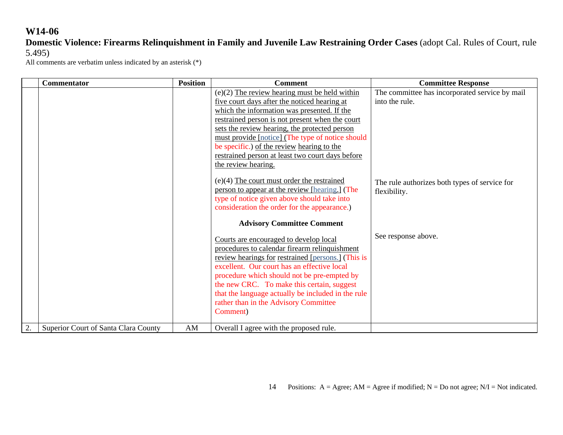## **Domestic Violence: Firearms Relinquishment in Family and Juvenile Law Restraining Order Cases** (adopt Cal. Rules of Court, rule 5.495)

|    | Commentator                          | <b>Position</b> | <b>Comment</b>                                                                                                                                                                                                                                                                                                                                                                                                                            | <b>Committee Response</b>                                        |
|----|--------------------------------------|-----------------|-------------------------------------------------------------------------------------------------------------------------------------------------------------------------------------------------------------------------------------------------------------------------------------------------------------------------------------------------------------------------------------------------------------------------------------------|------------------------------------------------------------------|
|    |                                      |                 | $(e)(2)$ The review hearing must be held within<br>five court days after the noticed hearing at<br>which the information was presented. If the<br>restrained person is not present when the court<br>sets the review hearing, the protected person<br>must provide [notice] (The type of notice should<br>be specific.) of the review hearing to the<br>restrained person at least two court days before<br>the review hearing.           | The committee has incorporated service by mail<br>into the rule. |
|    |                                      |                 | $(e)(4)$ The court must order the restrained<br>person to appear at the review [hearing.] (The<br>type of notice given above should take into<br>consideration the order for the appearance.)                                                                                                                                                                                                                                             | The rule authorizes both types of service for<br>flexibility.    |
|    |                                      |                 | <b>Advisory Committee Comment</b><br>Courts are encouraged to develop local<br>procedures to calendar firearm relinquishment<br>review hearings for restrained [persons.] (This is<br>excellent. Our court has an effective local<br>procedure which should not be pre-empted by<br>the new CRC. To make this certain, suggest<br>that the language actually be included in the rule<br>rather than in the Advisory Committee<br>Comment) | See response above.                                              |
| 2. | Superior Court of Santa Clara County | AM              | Overall I agree with the proposed rule.                                                                                                                                                                                                                                                                                                                                                                                                   |                                                                  |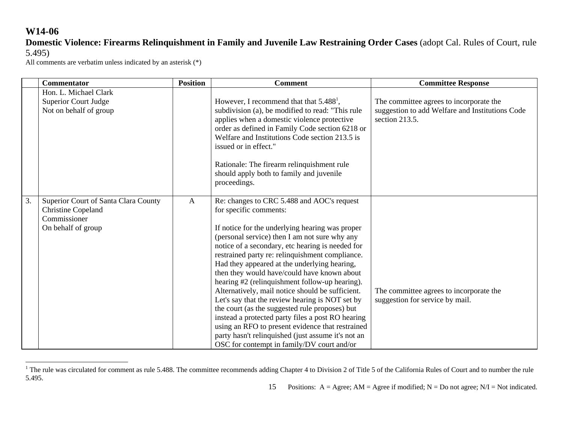### **Domestic Violence: Firearms Relinquishment in Family and Juvenile Law Restraining Order Cases** (adopt Cal. Rules of Court, rule 5.495)

|    | <b>Commentator</b>                                                                                      | <b>Position</b> | <b>Comment</b>                                                                                                                                                                                                                                                                                                                                                                                                                                                                                                                                                                                                                                                                                                                                                                                         | <b>Committee Response</b>                                                                                    |
|----|---------------------------------------------------------------------------------------------------------|-----------------|--------------------------------------------------------------------------------------------------------------------------------------------------------------------------------------------------------------------------------------------------------------------------------------------------------------------------------------------------------------------------------------------------------------------------------------------------------------------------------------------------------------------------------------------------------------------------------------------------------------------------------------------------------------------------------------------------------------------------------------------------------------------------------------------------------|--------------------------------------------------------------------------------------------------------------|
|    | Hon. L. Michael Clark<br><b>Superior Court Judge</b><br>Not on behalf of group                          |                 | However, I recommend that that $5.4881$ ,<br>subdivision (a), be modified to read: "This rule<br>applies when a domestic violence protective<br>order as defined in Family Code section 6218 or<br>Welfare and Institutions Code section 213.5 is<br>issued or in effect."<br>Rationale: The firearm relinquishment rule<br>should apply both to family and juvenile<br>proceedings.                                                                                                                                                                                                                                                                                                                                                                                                                   | The committee agrees to incorporate the<br>suggestion to add Welfare and Institutions Code<br>section 213.5. |
| 3. | Superior Court of Santa Clara County<br><b>Christine Copeland</b><br>Commissioner<br>On behalf of group | $\mathbf{A}$    | Re: changes to CRC 5.488 and AOC's request<br>for specific comments:<br>If notice for the underlying hearing was proper<br>(personal service) then I am not sure why any<br>notice of a secondary, etc hearing is needed for<br>restrained party re: relinquishment compliance.<br>Had they appeared at the underlying hearing,<br>then they would have/could have known about<br>hearing #2 (relinquishment follow-up hearing).<br>Alternatively, mail notice should be sufficient.<br>Let's say that the review hearing is NOT set by<br>the court (as the suggested rule proposes) but<br>instead a protected party files a post RO hearing<br>using an RFO to present evidence that restrained<br>party hasn't relinquished (just assume it's not an<br>OSC for contempt in family/DV court and/or | The committee agrees to incorporate the<br>suggestion for service by mail.                                   |

<sup>&</sup>lt;sup>1</sup> The rule was circulated for comment as rule 5.488. The committee recommends adding Chapter 4 to Division 2 of Title 5 of the California Rules of Court and to number the rule 5.495.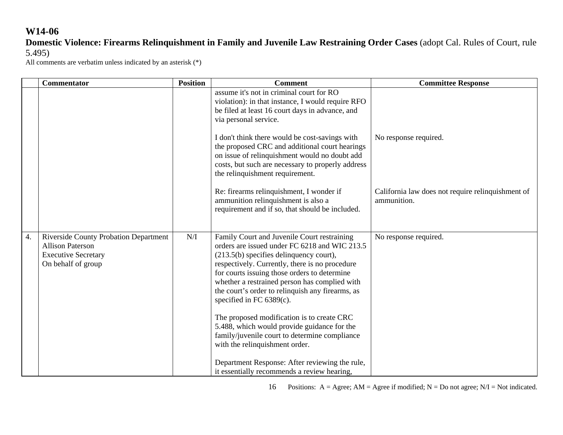# **Domestic Violence: Firearms Relinquishment in Family and Juvenile Law Restraining Order Cases** (adopt Cal. Rules of Court, rule 5.495)

All comments are verbatim unless indicated by an asterisk (\*)

|    | <b>Commentator</b>                                                                                                          | <b>Position</b> | <b>Comment</b>                                                                                                                                                                                                                                                                                                                                                                                                                                                                                                                                                  | <b>Committee Response</b>                                        |
|----|-----------------------------------------------------------------------------------------------------------------------------|-----------------|-----------------------------------------------------------------------------------------------------------------------------------------------------------------------------------------------------------------------------------------------------------------------------------------------------------------------------------------------------------------------------------------------------------------------------------------------------------------------------------------------------------------------------------------------------------------|------------------------------------------------------------------|
|    |                                                                                                                             |                 | assume it's not in criminal court for RO<br>violation): in that instance, I would require RFO<br>be filed at least 16 court days in advance, and<br>via personal service.                                                                                                                                                                                                                                                                                                                                                                                       |                                                                  |
|    |                                                                                                                             |                 | I don't think there would be cost-savings with<br>the proposed CRC and additional court hearings<br>on issue of relinquishment would no doubt add<br>costs, but such are necessary to properly address<br>the relinquishment requirement.                                                                                                                                                                                                                                                                                                                       | No response required.                                            |
|    |                                                                                                                             |                 | Re: firearms relinquishment, I wonder if<br>ammunition relinquishment is also a<br>requirement and if so, that should be included.                                                                                                                                                                                                                                                                                                                                                                                                                              | California law does not require relinquishment of<br>ammunition. |
| 4. | <b>Riverside County Probation Department</b><br><b>Allison Paterson</b><br><b>Executive Secretary</b><br>On behalf of group | N/I             | Family Court and Juvenile Court restraining<br>orders are issued under FC 6218 and WIC 213.5<br>$(213.5(b)$ specifies delinquency court),<br>respectively. Currently, there is no procedure<br>for courts issuing those orders to determine<br>whether a restrained person has complied with<br>the court's order to relinquish any firearms, as<br>specified in FC $6389(c)$ .<br>The proposed modification is to create CRC<br>5.488, which would provide guidance for the<br>family/juvenile court to determine compliance<br>with the relinquishment order. | No response required.                                            |
|    |                                                                                                                             |                 | Department Response: After reviewing the rule,<br>it essentially recommends a review hearing,                                                                                                                                                                                                                                                                                                                                                                                                                                                                   |                                                                  |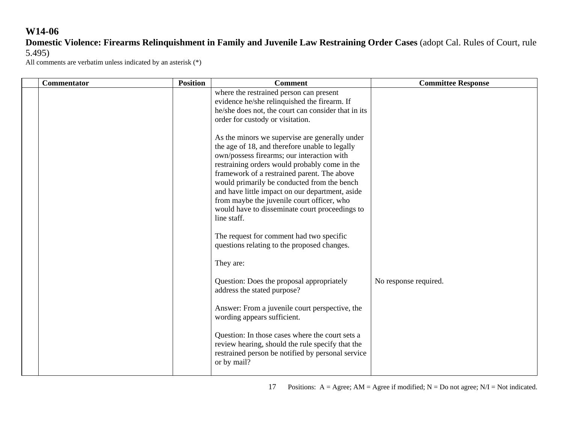# **Domestic Violence: Firearms Relinquishment in Family and Juvenile Law Restraining Order Cases** (adopt Cal. Rules of Court, rule 5.495)

| <b>Commentator</b> | <b>Position</b> | <b>Comment</b>                                                                                                                                                                                                                                                                                                                                                                                                                                                  | <b>Committee Response</b> |
|--------------------|-----------------|-----------------------------------------------------------------------------------------------------------------------------------------------------------------------------------------------------------------------------------------------------------------------------------------------------------------------------------------------------------------------------------------------------------------------------------------------------------------|---------------------------|
|                    |                 | where the restrained person can present<br>evidence he/she relinquished the firearm. If<br>he/she does not, the court can consider that in its<br>order for custody or visitation.                                                                                                                                                                                                                                                                              |                           |
|                    |                 | As the minors we supervise are generally under<br>the age of 18, and therefore unable to legally<br>own/possess firearms; our interaction with<br>restraining orders would probably come in the<br>framework of a restrained parent. The above<br>would primarily be conducted from the bench<br>and have little impact on our department, aside<br>from maybe the juvenile court officer, who<br>would have to disseminate court proceedings to<br>line staff. |                           |
|                    |                 | The request for comment had two specific<br>questions relating to the proposed changes.                                                                                                                                                                                                                                                                                                                                                                         |                           |
|                    |                 | They are:                                                                                                                                                                                                                                                                                                                                                                                                                                                       |                           |
|                    |                 | Question: Does the proposal appropriately<br>address the stated purpose?                                                                                                                                                                                                                                                                                                                                                                                        | No response required.     |
|                    |                 | Answer: From a juvenile court perspective, the<br>wording appears sufficient.                                                                                                                                                                                                                                                                                                                                                                                   |                           |
|                    |                 | Question: In those cases where the court sets a<br>review hearing, should the rule specify that the<br>restrained person be notified by personal service<br>or by mail?                                                                                                                                                                                                                                                                                         |                           |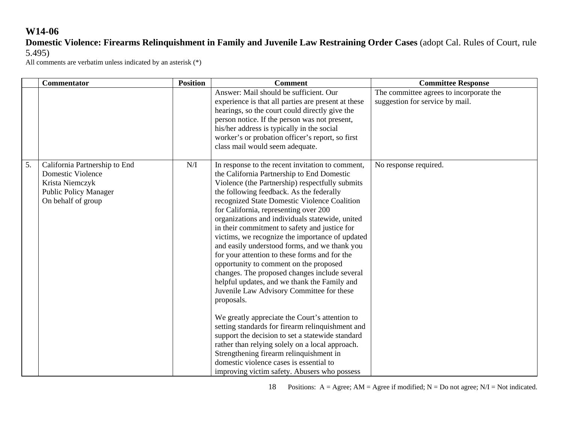### **Domestic Violence: Firearms Relinquishment in Family and Juvenile Law Restraining Order Cases** (adopt Cal. Rules of Court, rule 5.495)

All comments are verbatim unless indicated by an asterisk (\*)

|    | Commentator                                                                                                                        | <b>Position</b> | <b>Comment</b>                                                                                                                                                                                                                                                                                                                                                                                                                                                                                                                                                                                                                                                                                                                                                                                                                                                                                                                                                                                                                                                                                           | <b>Committee Response</b>                                                  |
|----|------------------------------------------------------------------------------------------------------------------------------------|-----------------|----------------------------------------------------------------------------------------------------------------------------------------------------------------------------------------------------------------------------------------------------------------------------------------------------------------------------------------------------------------------------------------------------------------------------------------------------------------------------------------------------------------------------------------------------------------------------------------------------------------------------------------------------------------------------------------------------------------------------------------------------------------------------------------------------------------------------------------------------------------------------------------------------------------------------------------------------------------------------------------------------------------------------------------------------------------------------------------------------------|----------------------------------------------------------------------------|
|    |                                                                                                                                    |                 | Answer: Mail should be sufficient. Our<br>experience is that all parties are present at these<br>hearings, so the court could directly give the<br>person notice. If the person was not present,<br>his/her address is typically in the social<br>worker's or probation officer's report, so first<br>class mail would seem adequate.                                                                                                                                                                                                                                                                                                                                                                                                                                                                                                                                                                                                                                                                                                                                                                    | The committee agrees to incorporate the<br>suggestion for service by mail. |
| 5. | California Partnership to End<br><b>Domestic Violence</b><br>Krista Niemczyk<br><b>Public Policy Manager</b><br>On behalf of group | N/I             | In response to the recent invitation to comment,<br>the California Partnership to End Domestic<br>Violence (the Partnership) respectfully submits<br>the following feedback. As the federally<br>recognized State Domestic Violence Coalition<br>for California, representing over 200<br>organizations and individuals statewide, united<br>in their commitment to safety and justice for<br>victims, we recognize the importance of updated<br>and easily understood forms, and we thank you<br>for your attention to these forms and for the<br>opportunity to comment on the proposed<br>changes. The proposed changes include several<br>helpful updates, and we thank the Family and<br>Juvenile Law Advisory Committee for these<br>proposals.<br>We greatly appreciate the Court's attention to<br>setting standards for firearm relinquishment and<br>support the decision to set a statewide standard<br>rather than relying solely on a local approach.<br>Strengthening firearm relinquishment in<br>domestic violence cases is essential to<br>improving victim safety. Abusers who possess | No response required.                                                      |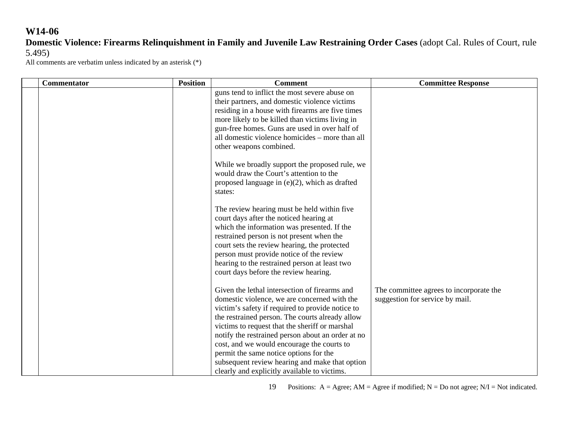### **Domestic Violence: Firearms Relinquishment in Family and Juvenile Law Restraining Order Cases** (adopt Cal. Rules of Court, rule 5.495)

All comments are verbatim unless indicated by an asterisk (\*)

| <b>Commentator</b> | <b>Position</b> | <b>Comment</b>                                                                                                                                                                                                                                                                                                                                                                                                                                                                                        | <b>Committee Response</b>                                                  |
|--------------------|-----------------|-------------------------------------------------------------------------------------------------------------------------------------------------------------------------------------------------------------------------------------------------------------------------------------------------------------------------------------------------------------------------------------------------------------------------------------------------------------------------------------------------------|----------------------------------------------------------------------------|
|                    |                 | guns tend to inflict the most severe abuse on<br>their partners, and domestic violence victims<br>residing in a house with firearms are five times<br>more likely to be killed than victims living in<br>gun-free homes. Guns are used in over half of<br>all domestic violence homicides – more than all<br>other weapons combined.                                                                                                                                                                  |                                                                            |
|                    |                 | While we broadly support the proposed rule, we<br>would draw the Court's attention to the<br>proposed language in $(e)(2)$ , which as drafted<br>states:                                                                                                                                                                                                                                                                                                                                              |                                                                            |
|                    |                 | The review hearing must be held within five<br>court days after the noticed hearing at<br>which the information was presented. If the<br>restrained person is not present when the<br>court sets the review hearing, the protected<br>person must provide notice of the review<br>hearing to the restrained person at least two<br>court days before the review hearing.                                                                                                                              |                                                                            |
|                    |                 | Given the lethal intersection of firearms and<br>domestic violence, we are concerned with the<br>victim's safety if required to provide notice to<br>the restrained person. The courts already allow<br>victims to request that the sheriff or marshal<br>notify the restrained person about an order at no<br>cost, and we would encourage the courts to<br>permit the same notice options for the<br>subsequent review hearing and make that option<br>clearly and explicitly available to victims. | The committee agrees to incorporate the<br>suggestion for service by mail. |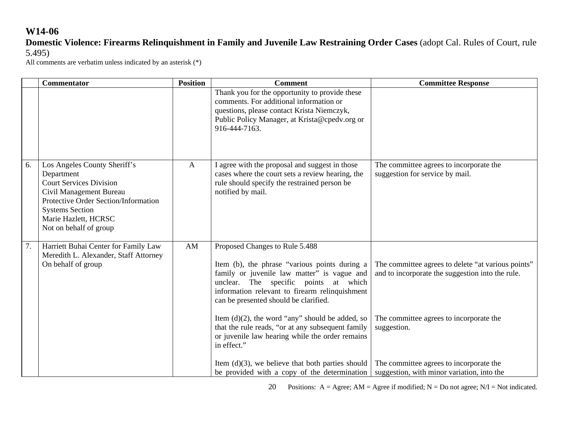**Domestic Violence: Firearms Relinquishment in Family and Juvenile Law Restraining Order Cases** (adopt Cal. Rules of Court, rule 5.495)

All comments are verbatim unless indicated by an asterisk (\*)

|    | <b>Commentator</b>                                                                                                                                                                                                          | <b>Position</b> | <b>Comment</b>                                                                                                                                                                                                                                                                                                                                                                                                                                  | <b>Committee Response</b>                                                                                                                                        |
|----|-----------------------------------------------------------------------------------------------------------------------------------------------------------------------------------------------------------------------------|-----------------|-------------------------------------------------------------------------------------------------------------------------------------------------------------------------------------------------------------------------------------------------------------------------------------------------------------------------------------------------------------------------------------------------------------------------------------------------|------------------------------------------------------------------------------------------------------------------------------------------------------------------|
|    |                                                                                                                                                                                                                             |                 | Thank you for the opportunity to provide these<br>comments. For additional information or<br>questions, please contact Krista Niemczyk,<br>Public Policy Manager, at Krista@cpedv.org or<br>916-444-7163.                                                                                                                                                                                                                                       |                                                                                                                                                                  |
| 6. | Los Angeles County Sheriff's<br>Department<br><b>Court Services Division</b><br>Civil Management Bureau<br>Protective Order Section/Information<br><b>Systems Section</b><br>Marie Hazlett, HCRSC<br>Not on behalf of group | $\mathbf{A}$    | I agree with the proposal and suggest in those<br>cases where the court sets a review hearing, the<br>rule should specify the restrained person be<br>notified by mail.                                                                                                                                                                                                                                                                         | The committee agrees to incorporate the<br>suggestion for service by mail.                                                                                       |
| 7. | Harriett Buhai Center for Family Law<br>Meredith L. Alexander, Staff Attorney<br>On behalf of group                                                                                                                         | AM              | Proposed Changes to Rule 5.488<br>Item (b), the phrase "various points during a<br>family or juvenile law matter" is vague and<br>unclear. The specific points at which<br>information relevant to firearm relinquishment<br>can be presented should be clarified.<br>Item $(d)(2)$ , the word "any" should be added, so<br>that the rule reads, "or at any subsequent family<br>or juvenile law hearing while the order remains<br>in effect." | The committee agrees to delete "at various points"<br>and to incorporate the suggestion into the rule.<br>The committee agrees to incorporate the<br>suggestion. |
|    |                                                                                                                                                                                                                             |                 | Item $(d)(3)$ , we believe that both parties should<br>be provided with a copy of the determination                                                                                                                                                                                                                                                                                                                                             | The committee agrees to incorporate the<br>suggestion, with minor variation, into the                                                                            |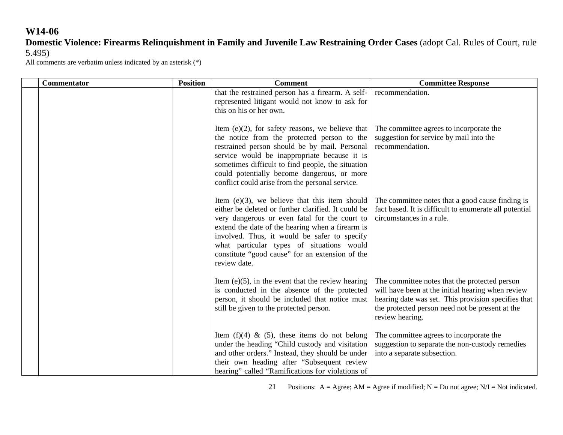### **Domestic Violence: Firearms Relinquishment in Family and Juvenile Law Restraining Order Cases** (adopt Cal. Rules of Court, rule 5.495)

All comments are verbatim unless indicated by an asterisk (\*)

| <b>Commentator</b> | <b>Position</b> | <b>Comment</b>                                                                                                                                                                                                                                                                                                                                                               | <b>Committee Response</b>                                                                                                                                                                                                       |
|--------------------|-----------------|------------------------------------------------------------------------------------------------------------------------------------------------------------------------------------------------------------------------------------------------------------------------------------------------------------------------------------------------------------------------------|---------------------------------------------------------------------------------------------------------------------------------------------------------------------------------------------------------------------------------|
|                    |                 | that the restrained person has a firearm. A self-<br>represented litigant would not know to ask for<br>this on his or her own.                                                                                                                                                                                                                                               | recommendation.                                                                                                                                                                                                                 |
|                    |                 | Item $(e)(2)$ , for safety reasons, we believe that<br>the notice from the protected person to the<br>restrained person should be by mail. Personal<br>service would be inappropriate because it is<br>sometimes difficult to find people, the situation<br>could potentially become dangerous, or more<br>conflict could arise from the personal service.                   | The committee agrees to incorporate the<br>suggestion for service by mail into the<br>recommendation.                                                                                                                           |
|                    |                 | Item $(e)(3)$ , we believe that this item should<br>either be deleted or further clarified. It could be<br>very dangerous or even fatal for the court to<br>extend the date of the hearing when a firearm is<br>involved. Thus, it would be safer to specify<br>what particular types of situations would<br>constitute "good cause" for an extension of the<br>review date. | The committee notes that a good cause finding is<br>fact based. It is difficult to enumerate all potential<br>circumstances in a rule.                                                                                          |
|                    |                 | Item $(e)(5)$ , in the event that the review hearing<br>is conducted in the absence of the protected<br>person, it should be included that notice must<br>still be given to the protected person.                                                                                                                                                                            | The committee notes that the protected person<br>will have been at the initial hearing when review<br>hearing date was set. This provision specifies that<br>the protected person need not be present at the<br>review hearing. |
|                    |                 | Item $(f)(4)$ & $(5)$ , these items do not belong<br>under the heading "Child custody and visitation<br>and other orders." Instead, they should be under<br>their own heading after "Subsequent review<br>hearing" called "Ramifications for violations of                                                                                                                   | The committee agrees to incorporate the<br>suggestion to separate the non-custody remedies<br>into a separate subsection.                                                                                                       |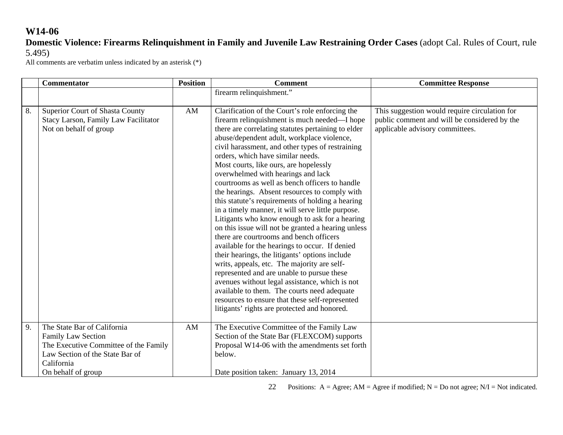### **Domestic Violence: Firearms Relinquishment in Family and Juvenile Law Restraining Order Cases** (adopt Cal. Rules of Court, rule 5.495)

All comments are verbatim unless indicated by an asterisk (\*)

|    | <b>Commentator</b>                                                                                                                                                       | <b>Position</b> | <b>Comment</b>                                                                                                                                                                                                                                                                                                                                                                                                                                                                                                                                                                                                                                                                                                                                                                                                                                                                                                                                                                                                                                                                                                                                   | <b>Committee Response</b>                                                                                                        |
|----|--------------------------------------------------------------------------------------------------------------------------------------------------------------------------|-----------------|--------------------------------------------------------------------------------------------------------------------------------------------------------------------------------------------------------------------------------------------------------------------------------------------------------------------------------------------------------------------------------------------------------------------------------------------------------------------------------------------------------------------------------------------------------------------------------------------------------------------------------------------------------------------------------------------------------------------------------------------------------------------------------------------------------------------------------------------------------------------------------------------------------------------------------------------------------------------------------------------------------------------------------------------------------------------------------------------------------------------------------------------------|----------------------------------------------------------------------------------------------------------------------------------|
|    |                                                                                                                                                                          |                 | firearm relinquishment."                                                                                                                                                                                                                                                                                                                                                                                                                                                                                                                                                                                                                                                                                                                                                                                                                                                                                                                                                                                                                                                                                                                         |                                                                                                                                  |
| 8. | Superior Court of Shasta County<br>Stacy Larson, Family Law Facilitator<br>Not on behalf of group                                                                        | AM              | Clarification of the Court's role enforcing the<br>firearm relinquishment is much needed—I hope<br>there are correlating statutes pertaining to elder<br>abuse/dependent adult, workplace violence,<br>civil harassment, and other types of restraining<br>orders, which have similar needs.<br>Most courts, like ours, are hopelessly<br>overwhelmed with hearings and lack<br>courtrooms as well as bench officers to handle<br>the hearings. Absent resources to comply with<br>this statute's requirements of holding a hearing<br>in a timely manner, it will serve little purpose.<br>Litigants who know enough to ask for a hearing<br>on this issue will not be granted a hearing unless<br>there are courtrooms and bench officers<br>available for the hearings to occur. If denied<br>their hearings, the litigants' options include<br>writs, appeals, etc. The majority are self-<br>represented and are unable to pursue these<br>avenues without legal assistance, which is not<br>available to them. The courts need adequate<br>resources to ensure that these self-represented<br>litigants' rights are protected and honored. | This suggestion would require circulation for<br>public comment and will be considered by the<br>applicable advisory committees. |
| 9. | The State Bar of California<br><b>Family Law Section</b><br>The Executive Committee of the Family<br>Law Section of the State Bar of<br>California<br>On behalf of group | AM              | The Executive Committee of the Family Law<br>Section of the State Bar (FLEXCOM) supports<br>Proposal W14-06 with the amendments set forth<br>below.<br>Date position taken: January 13, 2014                                                                                                                                                                                                                                                                                                                                                                                                                                                                                                                                                                                                                                                                                                                                                                                                                                                                                                                                                     |                                                                                                                                  |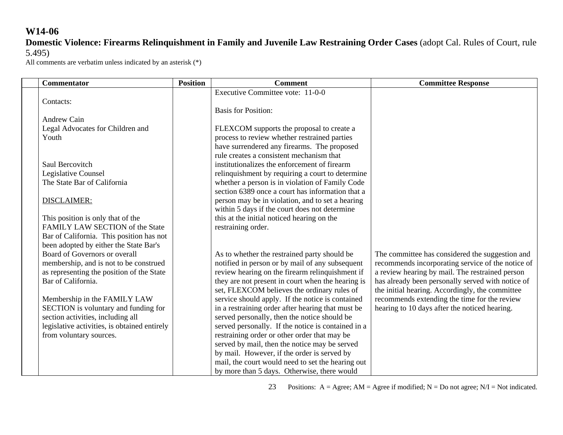**Domestic Violence: Firearms Relinquishment in Family and Juvenile Law Restraining Order Cases** (adopt Cal. Rules of Court, rule 5.495)

All comments are verbatim unless indicated by an asterisk (\*)

| <b>Commentator</b>                                                        | <b>Position</b> | <b>Comment</b>                                                                                      | <b>Committee Response</b>                         |
|---------------------------------------------------------------------------|-----------------|-----------------------------------------------------------------------------------------------------|---------------------------------------------------|
|                                                                           |                 | Executive Committee vote: 11-0-0                                                                    |                                                   |
| Contacts:                                                                 |                 |                                                                                                     |                                                   |
|                                                                           |                 | <b>Basis for Position:</b>                                                                          |                                                   |
| <b>Andrew Cain</b>                                                        |                 |                                                                                                     |                                                   |
| Legal Advocates for Children and                                          |                 | FLEXCOM supports the proposal to create a                                                           |                                                   |
| Youth                                                                     |                 | process to review whether restrained parties                                                        |                                                   |
|                                                                           |                 | have surrendered any firearms. The proposed                                                         |                                                   |
|                                                                           |                 | rule creates a consistent mechanism that                                                            |                                                   |
| Saul Bercovitch                                                           |                 | institutionalizes the enforcement of firearm                                                        |                                                   |
| Legislative Counsel<br>The State Bar of California                        |                 | relinquishment by requiring a court to determine<br>whether a person is in violation of Family Code |                                                   |
|                                                                           |                 | section 6389 once a court has information that a                                                    |                                                   |
| <b>DISCLAIMER:</b>                                                        |                 | person may be in violation, and to set a hearing                                                    |                                                   |
|                                                                           |                 | within 5 days if the court does not determine                                                       |                                                   |
| This position is only that of the                                         |                 | this at the initial noticed hearing on the                                                          |                                                   |
| FAMILY LAW SECTION of the State                                           |                 | restraining order.                                                                                  |                                                   |
| Bar of California. This position has not                                  |                 |                                                                                                     |                                                   |
| been adopted by either the State Bar's                                    |                 |                                                                                                     |                                                   |
| Board of Governors or overall                                             |                 | As to whether the restrained party should be                                                        | The committee has considered the suggestion and   |
| membership, and is not to be construed                                    |                 | notified in person or by mail of any subsequent                                                     | recommends incorporating service of the notice of |
| as representing the position of the State                                 |                 | review hearing on the firearm relinquishment if                                                     | a review hearing by mail. The restrained person   |
| Bar of California.                                                        |                 | they are not present in court when the hearing is                                                   | has already been personally served with notice of |
|                                                                           |                 | set, FLEXCOM believes the ordinary rules of                                                         | the initial hearing. Accordingly, the committee   |
| Membership in the FAMILY LAW                                              |                 | service should apply. If the notice is contained                                                    | recommends extending the time for the review      |
| SECTION is voluntary and funding for<br>section activities, including all |                 | in a restraining order after hearing that must be<br>served personally, then the notice should be   | hearing to 10 days after the noticed hearing.     |
| legislative activities, is obtained entirely                              |                 | served personally. If the notice is contained in a                                                  |                                                   |
| from voluntary sources.                                                   |                 | restraining order or other order that may be                                                        |                                                   |
|                                                                           |                 | served by mail, then the notice may be served                                                       |                                                   |
|                                                                           |                 | by mail. However, if the order is served by                                                         |                                                   |
|                                                                           |                 | mail, the court would need to set the hearing out                                                   |                                                   |
|                                                                           |                 | by more than 5 days. Otherwise, there would                                                         |                                                   |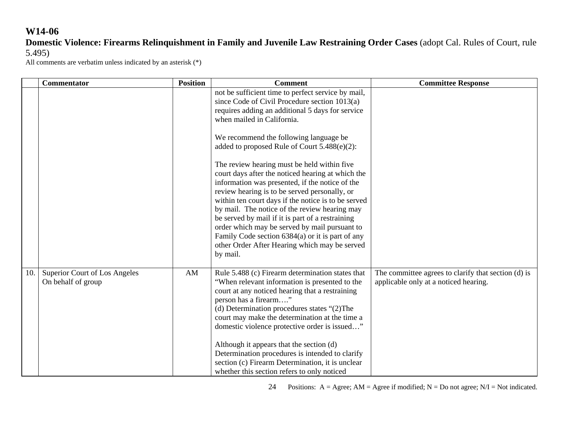# **Domestic Violence: Firearms Relinquishment in Family and Juvenile Law Restraining Order Cases** (adopt Cal. Rules of Court, rule 5.495)

All comments are verbatim unless indicated by an asterisk (\*)

|     | <b>Commentator</b>                                         | <b>Position</b> | <b>Comment</b>                                                                                                                                                                                                                                                                                                                                                                                                                                                                                                                     | <b>Committee Response</b>                                                                    |
|-----|------------------------------------------------------------|-----------------|------------------------------------------------------------------------------------------------------------------------------------------------------------------------------------------------------------------------------------------------------------------------------------------------------------------------------------------------------------------------------------------------------------------------------------------------------------------------------------------------------------------------------------|----------------------------------------------------------------------------------------------|
|     |                                                            |                 | not be sufficient time to perfect service by mail,<br>since Code of Civil Procedure section 1013(a)<br>requires adding an additional 5 days for service<br>when mailed in California.                                                                                                                                                                                                                                                                                                                                              |                                                                                              |
|     |                                                            |                 | We recommend the following language be<br>added to proposed Rule of Court 5.488(e)(2):                                                                                                                                                                                                                                                                                                                                                                                                                                             |                                                                                              |
|     |                                                            |                 | The review hearing must be held within five<br>court days after the noticed hearing at which the<br>information was presented, if the notice of the<br>review hearing is to be served personally, or<br>within ten court days if the notice is to be served<br>by mail. The notice of the review hearing may<br>be served by mail if it is part of a restraining<br>order which may be served by mail pursuant to<br>Family Code section 6384(a) or it is part of any<br>other Order After Hearing which may be served<br>by mail. |                                                                                              |
| 10. | <b>Superior Court of Los Angeles</b><br>On behalf of group | AM              | Rule 5.488 (c) Firearm determination states that<br>"When relevant information is presented to the<br>court at any noticed hearing that a restraining<br>person has a firearm"<br>(d) Determination procedures states "(2)The<br>court may make the determination at the time a<br>domestic violence protective order is issued"<br>Although it appears that the section (d)<br>Determination procedures is intended to clarify<br>section (c) Firearm Determination, it is unclear<br>whether this section refers to only noticed | The committee agrees to clarify that section (d) is<br>applicable only at a noticed hearing. |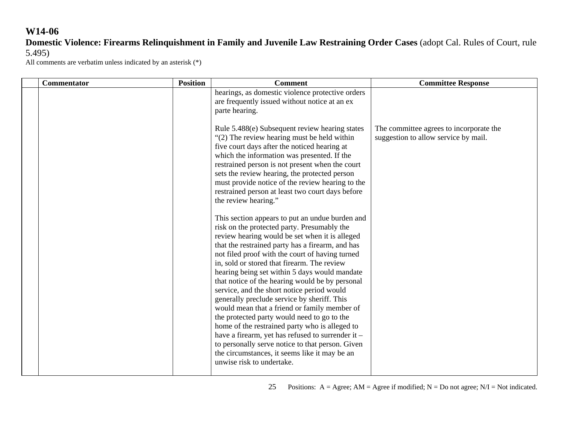### **Domestic Violence: Firearms Relinquishment in Family and Juvenile Law Restraining Order Cases** (adopt Cal. Rules of Court, rule 5.495)

| <b>Commentator</b> | <b>Position</b> | <b>Comment</b>                                                                                                                                                                                                                                                                                                                                                                                                                                                                                                                                                                                                                                                                                                                                                                                                                                  | <b>Committee Response</b>                                                       |
|--------------------|-----------------|-------------------------------------------------------------------------------------------------------------------------------------------------------------------------------------------------------------------------------------------------------------------------------------------------------------------------------------------------------------------------------------------------------------------------------------------------------------------------------------------------------------------------------------------------------------------------------------------------------------------------------------------------------------------------------------------------------------------------------------------------------------------------------------------------------------------------------------------------|---------------------------------------------------------------------------------|
|                    |                 | hearings, as domestic violence protective orders<br>are frequently issued without notice at an ex<br>parte hearing.                                                                                                                                                                                                                                                                                                                                                                                                                                                                                                                                                                                                                                                                                                                             |                                                                                 |
|                    |                 | Rule 5.488(e) Subsequent review hearing states<br>"(2) The review hearing must be held within<br>five court days after the noticed hearing at<br>which the information was presented. If the<br>restrained person is not present when the court<br>sets the review hearing, the protected person<br>must provide notice of the review hearing to the<br>restrained person at least two court days before<br>the review hearing."                                                                                                                                                                                                                                                                                                                                                                                                                | The committee agrees to incorporate the<br>suggestion to allow service by mail. |
|                    |                 | This section appears to put an undue burden and<br>risk on the protected party. Presumably the<br>review hearing would be set when it is alleged<br>that the restrained party has a firearm, and has<br>not filed proof with the court of having turned<br>in, sold or stored that firearm. The review<br>hearing being set within 5 days would mandate<br>that notice of the hearing would be by personal<br>service, and the short notice period would<br>generally preclude service by sheriff. This<br>would mean that a friend or family member of<br>the protected party would need to go to the<br>home of the restrained party who is alleged to<br>have a firearm, yet has refused to surrender it -<br>to personally serve notice to that person. Given<br>the circumstances, it seems like it may be an<br>unwise risk to undertake. |                                                                                 |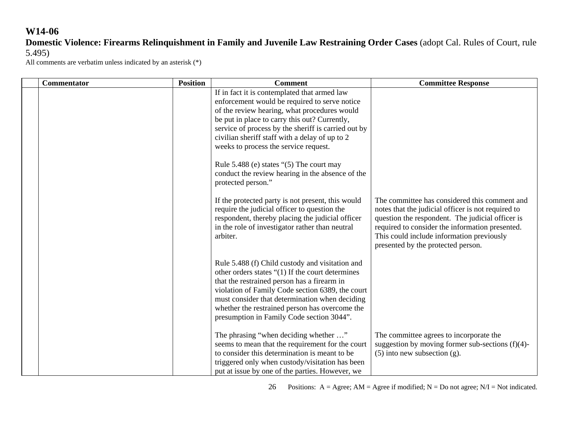# **Domestic Violence: Firearms Relinquishment in Family and Juvenile Law Restraining Order Cases** (adopt Cal. Rules of Court, rule 5.495)

All comments are verbatim unless indicated by an asterisk (\*)

| <b>Commentator</b> | <b>Position</b> | <b>Comment</b>                                                                                                                                                                                                                                                                                                                                                                                                                                   | <b>Committee Response</b>                                                                                                                                                                                                                                                                     |
|--------------------|-----------------|--------------------------------------------------------------------------------------------------------------------------------------------------------------------------------------------------------------------------------------------------------------------------------------------------------------------------------------------------------------------------------------------------------------------------------------------------|-----------------------------------------------------------------------------------------------------------------------------------------------------------------------------------------------------------------------------------------------------------------------------------------------|
|                    |                 | If in fact it is contemplated that armed law<br>enforcement would be required to serve notice<br>of the review hearing, what procedures would<br>be put in place to carry this out? Currently,<br>service of process by the sheriff is carried out by<br>civilian sheriff staff with a delay of up to 2<br>weeks to process the service request.<br>Rule 5.488 (e) states "(5) The court may<br>conduct the review hearing in the absence of the |                                                                                                                                                                                                                                                                                               |
|                    |                 | protected person."<br>If the protected party is not present, this would<br>require the judicial officer to question the<br>respondent, thereby placing the judicial officer<br>in the role of investigator rather than neutral<br>arbiter.                                                                                                                                                                                                       | The committee has considered this comment and<br>notes that the judicial officer is not required to<br>question the respondent. The judicial officer is<br>required to consider the information presented.<br>This could include information previously<br>presented by the protected person. |
|                    |                 | Rule 5.488 (f) Child custody and visitation and<br>other orders states "(1) If the court determines<br>that the restrained person has a firearm in<br>violation of Family Code section 6389, the court<br>must consider that determination when deciding<br>whether the restrained person has overcome the<br>presumption in Family Code section 3044".                                                                                          |                                                                                                                                                                                                                                                                                               |
|                    |                 | The phrasing "when deciding whether "<br>seems to mean that the requirement for the court<br>to consider this determination is meant to be<br>triggered only when custody/visitation has been<br>put at issue by one of the parties. However, we                                                                                                                                                                                                 | The committee agrees to incorporate the<br>suggestion by moving former sub-sections $(f)(4)$ -<br>$(5)$ into new subsection $(g)$ .                                                                                                                                                           |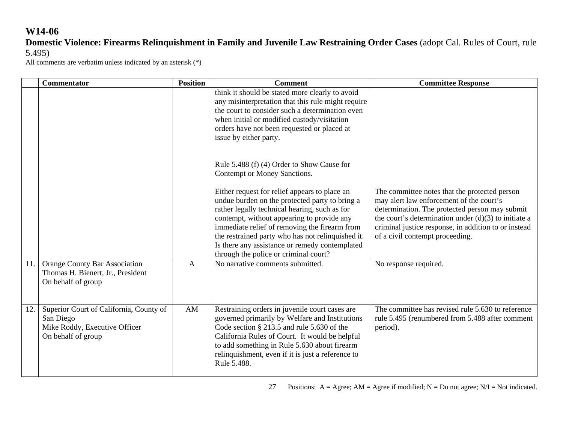# **Domestic Violence: Firearms Relinquishment in Family and Juvenile Law Restraining Order Cases** (adopt Cal. Rules of Court, rule 5.495)

|     | <b>Commentator</b>                                                                                          | <b>Position</b> | <b>Comment</b>                                                                                                                                                                                                                                                                                                                                                                                  | <b>Committee Response</b>                                                                                                                                                                                                                                                                        |
|-----|-------------------------------------------------------------------------------------------------------------|-----------------|-------------------------------------------------------------------------------------------------------------------------------------------------------------------------------------------------------------------------------------------------------------------------------------------------------------------------------------------------------------------------------------------------|--------------------------------------------------------------------------------------------------------------------------------------------------------------------------------------------------------------------------------------------------------------------------------------------------|
|     |                                                                                                             |                 | think it should be stated more clearly to avoid<br>any misinterpretation that this rule might require<br>the court to consider such a determination even<br>when initial or modified custody/visitation<br>orders have not been requested or placed at<br>issue by either party.                                                                                                                |                                                                                                                                                                                                                                                                                                  |
|     |                                                                                                             |                 | Rule 5.488 (f) (4) Order to Show Cause for<br>Contempt or Money Sanctions.                                                                                                                                                                                                                                                                                                                      |                                                                                                                                                                                                                                                                                                  |
|     |                                                                                                             |                 | Either request for relief appears to place an<br>undue burden on the protected party to bring a<br>rather legally technical hearing, such as for<br>contempt, without appearing to provide any<br>immediate relief of removing the firearm from<br>the restrained party who has not relinquished it.<br>Is there any assistance or remedy contemplated<br>through the police or criminal court? | The committee notes that the protected person<br>may alert law enforcement of the court's<br>determination. The protected person may submit<br>the court's determination under $(d)(3)$ to initiate a<br>criminal justice response, in addition to or instead<br>of a civil contempt proceeding. |
| 11. | <b>Orange County Bar Association</b><br>Thomas H. Bienert, Jr., President<br>On behalf of group             | $\mathbf{A}$    | No narrative comments submitted.                                                                                                                                                                                                                                                                                                                                                                | No response required.                                                                                                                                                                                                                                                                            |
| 12. | Superior Court of California, County of<br>San Diego<br>Mike Roddy, Executive Officer<br>On behalf of group | AM              | Restraining orders in juvenile court cases are<br>governed primarily by Welfare and Institutions<br>Code section § 213.5 and rule 5.630 of the<br>California Rules of Court. It would be helpful<br>to add something in Rule 5.630 about firearm<br>relinquishment, even if it is just a reference to<br>Rule 5.488.                                                                            | The committee has revised rule 5.630 to reference<br>rule 5.495 (renumbered from 5.488 after comment<br>period).                                                                                                                                                                                 |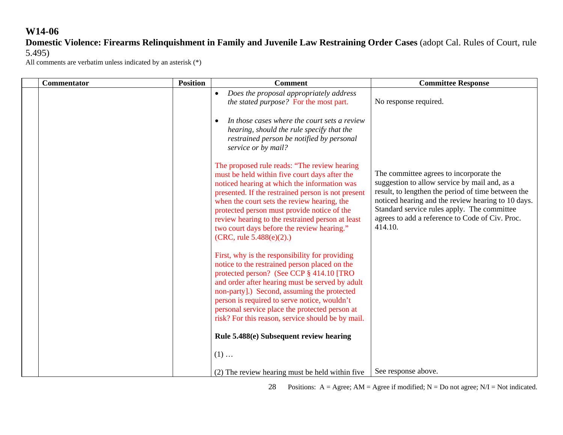### **Domestic Violence: Firearms Relinquishment in Family and Juvenile Law Restraining Order Cases** (adopt Cal. Rules of Court, rule 5.495)

All comments are verbatim unless indicated by an asterisk (\*)

| <b>Commentator</b> | <b>Position</b> | <b>Comment</b>                                                                                                                                                                                                                                                                                                                                                                                                                     | <b>Committee Response</b>                                                                                                                                                                                                                                                                                         |
|--------------------|-----------------|------------------------------------------------------------------------------------------------------------------------------------------------------------------------------------------------------------------------------------------------------------------------------------------------------------------------------------------------------------------------------------------------------------------------------------|-------------------------------------------------------------------------------------------------------------------------------------------------------------------------------------------------------------------------------------------------------------------------------------------------------------------|
|                    |                 | Does the proposal appropriately address<br>$\bullet$<br>the stated purpose? For the most part.                                                                                                                                                                                                                                                                                                                                     | No response required.                                                                                                                                                                                                                                                                                             |
|                    |                 | In those cases where the court sets a review<br>$\bullet$<br>hearing, should the rule specify that the<br>restrained person be notified by personal<br>service or by mail?                                                                                                                                                                                                                                                         |                                                                                                                                                                                                                                                                                                                   |
|                    |                 | The proposed rule reads: "The review hearing<br>must be held within five court days after the<br>noticed hearing at which the information was<br>presented. If the restrained person is not present<br>when the court sets the review hearing, the<br>protected person must provide notice of the<br>review hearing to the restrained person at least<br>two court days before the review hearing."<br>$(CRC, rule 5.488(e)(2))$ . | The committee agrees to incorporate the<br>suggestion to allow service by mail and, as a<br>result, to lengthen the period of time between the<br>noticed hearing and the review hearing to 10 days.<br>Standard service rules apply. The committee<br>agrees to add a reference to Code of Civ. Proc.<br>414.10. |
|                    |                 | First, why is the responsibility for providing<br>notice to the restrained person placed on the<br>protected person? (See CCP § 414.10 [TRO<br>and order after hearing must be served by adult<br>non-party].) Second, assuming the protected<br>person is required to serve notice, wouldn't<br>personal service place the protected person at<br>risk? For this reason, service should be by mail.                               |                                                                                                                                                                                                                                                                                                                   |
|                    |                 | Rule 5.488(e) Subsequent review hearing                                                                                                                                                                                                                                                                                                                                                                                            |                                                                                                                                                                                                                                                                                                                   |
|                    |                 | $(1)$                                                                                                                                                                                                                                                                                                                                                                                                                              |                                                                                                                                                                                                                                                                                                                   |
|                    |                 | (2) The review hearing must be held within five                                                                                                                                                                                                                                                                                                                                                                                    | See response above.                                                                                                                                                                                                                                                                                               |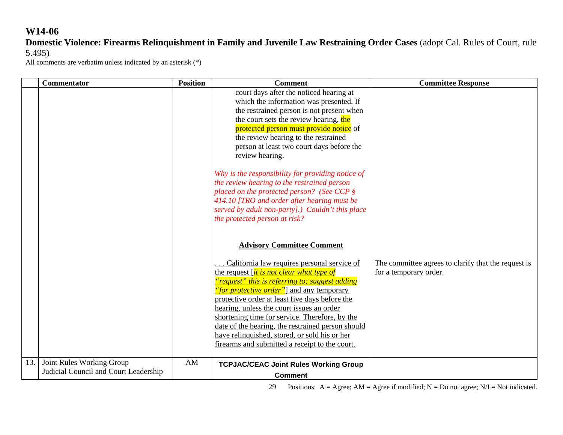### **Domestic Violence: Firearms Relinquishment in Family and Juvenile Law Restraining Order Cases** (adopt Cal. Rules of Court, rule 5.495)

All comments are verbatim unless indicated by an asterisk (\*)

|     | <b>Commentator</b>                    | <b>Position</b> | <b>Comment</b>                                        | <b>Committee Response</b>                           |
|-----|---------------------------------------|-----------------|-------------------------------------------------------|-----------------------------------------------------|
|     |                                       |                 | court days after the noticed hearing at               |                                                     |
|     |                                       |                 | which the information was presented. If               |                                                     |
|     |                                       |                 | the restrained person is not present when             |                                                     |
|     |                                       |                 | the court sets the review hearing, the                |                                                     |
|     |                                       |                 | protected person must provide notice of               |                                                     |
|     |                                       |                 | the review hearing to the restrained                  |                                                     |
|     |                                       |                 | person at least two court days before the             |                                                     |
|     |                                       |                 | review hearing.                                       |                                                     |
|     |                                       |                 | Why is the responsibility for providing notice of     |                                                     |
|     |                                       |                 | the review hearing to the restrained person           |                                                     |
|     |                                       |                 | placed on the protected person? (See CCP $\S$         |                                                     |
|     |                                       |                 | 414.10 [TRO and order after hearing must be           |                                                     |
|     |                                       |                 | served by adult non-party].) Couldn't this place      |                                                     |
|     |                                       |                 | the protected person at risk?                         |                                                     |
|     |                                       |                 |                                                       |                                                     |
|     |                                       |                 | <b>Advisory Committee Comment</b>                     |                                                     |
|     |                                       |                 |                                                       |                                                     |
|     |                                       |                 | California law requires personal service of           | The committee agrees to clarify that the request is |
|     |                                       |                 | the request <i>it is not clear what type of</i>       | for a temporary order.                              |
|     |                                       |                 | <u>"request" this is referring to; suggest adding</u> |                                                     |
|     |                                       |                 | "for protective order" and any temporary              |                                                     |
|     |                                       |                 | protective order at least five days before the        |                                                     |
|     |                                       |                 | hearing, unless the court issues an order             |                                                     |
|     |                                       |                 | shortening time for service. Therefore, by the        |                                                     |
|     |                                       |                 | date of the hearing, the restrained person should     |                                                     |
|     |                                       |                 | have relinquished, stored, or sold his or her         |                                                     |
|     |                                       |                 | firearms and submitted a receipt to the court.        |                                                     |
| 13. | Joint Rules Working Group             | AM              | <b>TCPJAC/CEAC Joint Rules Working Group</b>          |                                                     |
|     | Judicial Council and Court Leadership |                 | <b>Comment</b>                                        |                                                     |
|     |                                       |                 |                                                       |                                                     |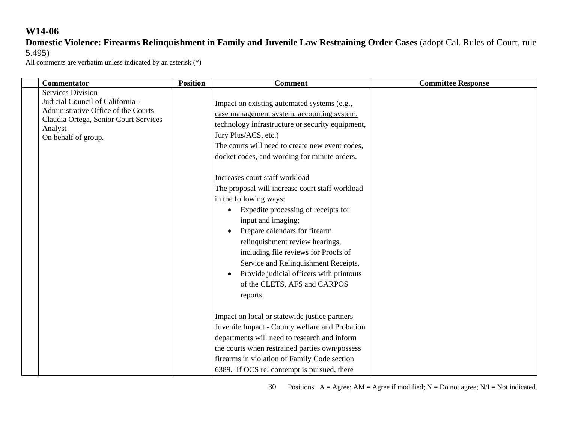**Domestic Violence: Firearms Relinquishment in Family and Juvenile Law Restraining Order Cases** (adopt Cal. Rules of Court, rule 5.495)

| <b>Commentator</b>                                                                                                                                                             | <b>Position</b> | <b>Comment</b>                                                                                                                                                                                                                                                                                                                                                                                                                                                                                                          | <b>Committee Response</b> |
|--------------------------------------------------------------------------------------------------------------------------------------------------------------------------------|-----------------|-------------------------------------------------------------------------------------------------------------------------------------------------------------------------------------------------------------------------------------------------------------------------------------------------------------------------------------------------------------------------------------------------------------------------------------------------------------------------------------------------------------------------|---------------------------|
| <b>Services Division</b><br>Judicial Council of California -<br>Administrative Office of the Courts<br>Claudia Ortega, Senior Court Services<br>Analyst<br>On behalf of group. |                 | Impact on existing automated systems (e.g.,<br>case management system, accounting system,<br>technology infrastructure or security equipment,<br>Jury Plus/ACS, etc.)<br>The courts will need to create new event codes,<br>docket codes, and wording for minute orders.                                                                                                                                                                                                                                                |                           |
|                                                                                                                                                                                |                 | Increases court staff workload<br>The proposal will increase court staff workload<br>in the following ways:<br>Expedite processing of receipts for<br>input and imaging;<br>Prepare calendars for firearm<br>relinquishment review hearings,<br>including file reviews for Proofs of<br>Service and Relinquishment Receipts.<br>Provide judicial officers with printouts<br>of the CLETS, AFS and CARPOS<br>reports.<br>Impact on local or statewide justice partners<br>Juvenile Impact - County welfare and Probation |                           |
|                                                                                                                                                                                |                 | departments will need to research and inform<br>the courts when restrained parties own/possess<br>firearms in violation of Family Code section<br>6389. If OCS re: contempt is pursued, there                                                                                                                                                                                                                                                                                                                           |                           |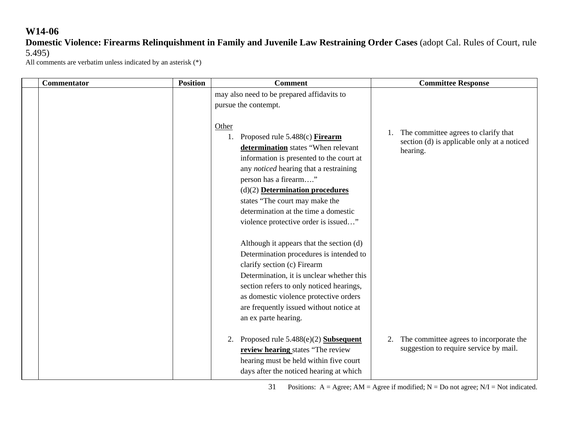**Domestic Violence: Firearms Relinquishment in Family and Juvenile Law Restraining Order Cases** (adopt Cal. Rules of Court, rule 5.495)

All comments are verbatim unless indicated by an asterisk (\*)

| Commentator | <b>Position</b> | <b>Comment</b>                                                                                                                                                                                                                                                                                                                                              | <b>Committee Response</b>                                                                       |
|-------------|-----------------|-------------------------------------------------------------------------------------------------------------------------------------------------------------------------------------------------------------------------------------------------------------------------------------------------------------------------------------------------------------|-------------------------------------------------------------------------------------------------|
|             |                 | may also need to be prepared affidavits to                                                                                                                                                                                                                                                                                                                  |                                                                                                 |
|             |                 | pursue the contempt.                                                                                                                                                                                                                                                                                                                                        |                                                                                                 |
|             |                 | Other<br>Proposed rule 5.488(c) Firearm<br>determination states "When relevant<br>information is presented to the court at<br>any <i>noticed</i> hearing that a restraining<br>person has a firearm"<br>$(d)(2)$ Determination procedures<br>states "The court may make the<br>determination at the time a domestic<br>violence protective order is issued" | The committee agrees to clarify that<br>section (d) is applicable only at a noticed<br>hearing. |
|             |                 | Although it appears that the section (d)<br>Determination procedures is intended to<br>clarify section (c) Firearm<br>Determination, it is unclear whether this<br>section refers to only noticed hearings,<br>as domestic violence protective orders<br>are frequently issued without notice at<br>an ex parte hearing.                                    |                                                                                                 |
|             |                 | Proposed rule $5.488(e)(2)$ Subsequent<br>2.<br>review hearing states "The review<br>hearing must be held within five court<br>days after the noticed hearing at which                                                                                                                                                                                      | The committee agrees to incorporate the<br>2.<br>suggestion to require service by mail.         |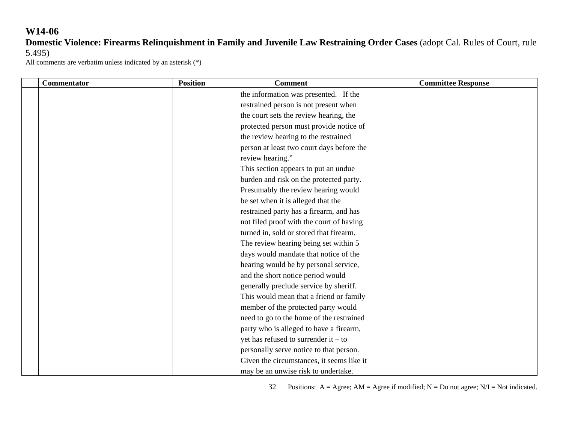# **Domestic Violence: Firearms Relinquishment in Family and Juvenile Law Restraining Order Cases** (adopt Cal. Rules of Court, rule 5.495)

All comments are verbatim unless indicated by an asterisk (\*)

| <b>Commentator</b> | <b>Position</b> | <b>Comment</b>                            | <b>Committee Response</b> |
|--------------------|-----------------|-------------------------------------------|---------------------------|
|                    |                 | the information was presented. If the     |                           |
|                    |                 | restrained person is not present when     |                           |
|                    |                 | the court sets the review hearing, the    |                           |
|                    |                 | protected person must provide notice of   |                           |
|                    |                 | the review hearing to the restrained      |                           |
|                    |                 | person at least two court days before the |                           |
|                    |                 | review hearing."                          |                           |
|                    |                 | This section appears to put an undue      |                           |
|                    |                 | burden and risk on the protected party.   |                           |
|                    |                 | Presumably the review hearing would       |                           |
|                    |                 | be set when it is alleged that the        |                           |
|                    |                 | restrained party has a firearm, and has   |                           |
|                    |                 | not filed proof with the court of having  |                           |
|                    |                 | turned in, sold or stored that firearm.   |                           |
|                    |                 | The review hearing being set within 5     |                           |
|                    |                 | days would mandate that notice of the     |                           |
|                    |                 | hearing would be by personal service,     |                           |
|                    |                 | and the short notice period would         |                           |
|                    |                 | generally preclude service by sheriff.    |                           |
|                    |                 | This would mean that a friend or family   |                           |
|                    |                 | member of the protected party would       |                           |
|                    |                 | need to go to the home of the restrained  |                           |
|                    |                 | party who is alleged to have a firearm,   |                           |
|                    |                 | yet has refused to surrender it $-$ to    |                           |
|                    |                 | personally serve notice to that person.   |                           |
|                    |                 | Given the circumstances, it seems like it |                           |
|                    |                 | may be an unwise risk to undertake.       |                           |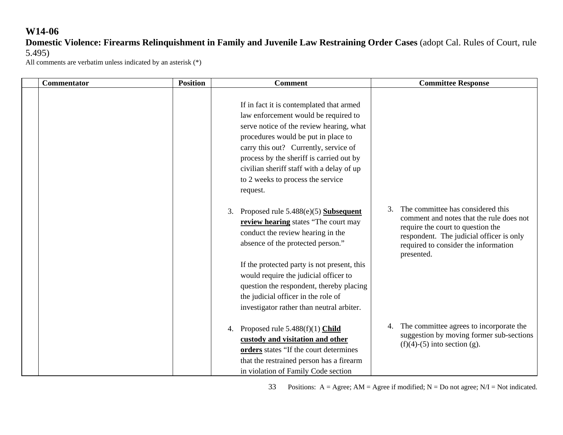**Domestic Violence: Firearms Relinquishment in Family and Juvenile Law Restraining Order Cases** (adopt Cal. Rules of Court, rule 5.495)

All comments are verbatim unless indicated by an asterisk (\*)

| <b>Commentator</b> | <b>Position</b> | <b>Comment</b>                                                                                                                                                                                                                                                                                                                                         | <b>Committee Response</b>                                                                                                                                                                                                  |
|--------------------|-----------------|--------------------------------------------------------------------------------------------------------------------------------------------------------------------------------------------------------------------------------------------------------------------------------------------------------------------------------------------------------|----------------------------------------------------------------------------------------------------------------------------------------------------------------------------------------------------------------------------|
|                    |                 | If in fact it is contemplated that armed<br>law enforcement would be required to<br>serve notice of the review hearing, what<br>procedures would be put in place to<br>carry this out? Currently, service of<br>process by the sheriff is carried out by<br>civilian sheriff staff with a delay of up<br>to 2 weeks to process the service<br>request. |                                                                                                                                                                                                                            |
|                    |                 | Proposed rule 5.488(e)(5) Subsequent<br>review hearing states "The court may<br>conduct the review hearing in the<br>absence of the protected person."                                                                                                                                                                                                 | The committee has considered this<br>3.<br>comment and notes that the rule does not<br>require the court to question the<br>respondent. The judicial officer is only<br>required to consider the information<br>presented. |
|                    |                 | If the protected party is not present, this<br>would require the judicial officer to<br>question the respondent, thereby placing<br>the judicial officer in the role of<br>investigator rather than neutral arbiter.                                                                                                                                   |                                                                                                                                                                                                                            |
|                    |                 | Proposed rule $5.488(f)(1)$ Child<br>custody and visitation and other<br>orders states "If the court determines<br>that the restrained person has a firearm<br>in violation of Family Code section                                                                                                                                                     | 4. The committee agrees to incorporate the<br>suggestion by moving former sub-sections<br>$(f)(4)-(5)$ into section (g).                                                                                                   |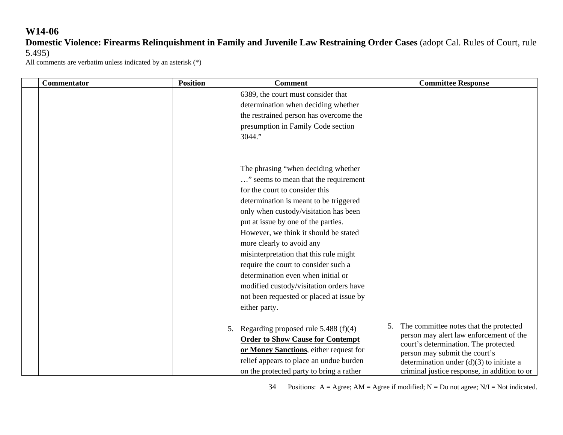# **Domestic Violence: Firearms Relinquishment in Family and Juvenile Law Restraining Order Cases** (adopt Cal. Rules of Court, rule 5.495)

All comments are verbatim unless indicated by an asterisk (\*)

| <b>Commentator</b> | <b>Position</b> | <b>Comment</b>                           | <b>Committee Response</b>                    |
|--------------------|-----------------|------------------------------------------|----------------------------------------------|
|                    |                 | 6389, the court must consider that       |                                              |
|                    |                 | determination when deciding whether      |                                              |
|                    |                 | the restrained person has overcome the   |                                              |
|                    |                 | presumption in Family Code section       |                                              |
|                    |                 | 3044."                                   |                                              |
|                    |                 |                                          |                                              |
|                    |                 |                                          |                                              |
|                    |                 | The phrasing "when deciding whether      |                                              |
|                    |                 | " seems to mean that the requirement     |                                              |
|                    |                 | for the court to consider this           |                                              |
|                    |                 | determination is meant to be triggered   |                                              |
|                    |                 | only when custody/visitation has been    |                                              |
|                    |                 | put at issue by one of the parties.      |                                              |
|                    |                 | However, we think it should be stated    |                                              |
|                    |                 | more clearly to avoid any                |                                              |
|                    |                 | misinterpretation that this rule might   |                                              |
|                    |                 | require the court to consider such a     |                                              |
|                    |                 | determination even when initial or       |                                              |
|                    |                 | modified custody/visitation orders have  |                                              |
|                    |                 | not been requested or placed at issue by |                                              |
|                    |                 | either party.                            |                                              |
|                    |                 |                                          | The committee notes that the protected<br>5. |
|                    |                 | Regarding proposed rule $5.488(f)(4)$    | person may alert law enforcement of the      |
|                    |                 | <b>Order to Show Cause for Contempt</b>  | court's determination. The protected         |
|                    |                 | or Money Sanctions, either request for   | person may submit the court's                |
|                    |                 | relief appears to place an undue burden  | determination under $(d)(3)$ to initiate a   |
|                    |                 | on the protected party to bring a rather | criminal justice response, in addition to or |